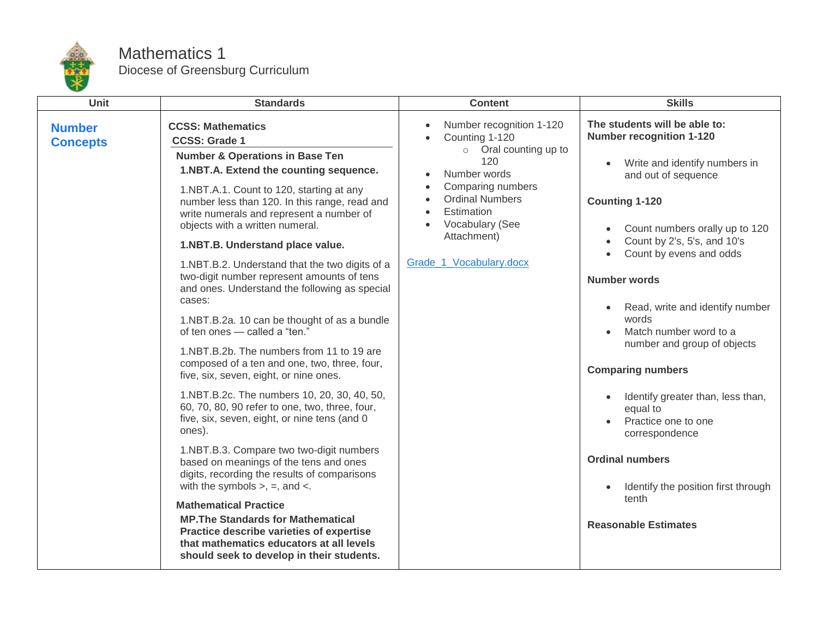

## Mathematics 1 Diocese of Greensburg Curriculum

| Unit                                                                                                                                                                                                                                                                                                                                                                                                                                                                                                                                                                                                                                                                                                                                                                                                                                                                                                                                                                                                                                                                                                                                                                                                                                                                                                                                           |
|------------------------------------------------------------------------------------------------------------------------------------------------------------------------------------------------------------------------------------------------------------------------------------------------------------------------------------------------------------------------------------------------------------------------------------------------------------------------------------------------------------------------------------------------------------------------------------------------------------------------------------------------------------------------------------------------------------------------------------------------------------------------------------------------------------------------------------------------------------------------------------------------------------------------------------------------------------------------------------------------------------------------------------------------------------------------------------------------------------------------------------------------------------------------------------------------------------------------------------------------------------------------------------------------------------------------------------------------|
| <b>CCSS: Mathematics</b><br><b>Number</b><br><b>CCSS: Grade 1</b><br><b>Concepts</b><br><b>Number &amp; Operations in Base Ten</b><br>1.NBT.A. Extend the counting sequence.<br>1.NBT.A.1. Count to 120, starting at any<br>number less than 120. In this range, read and<br>write numerals and represent a number of<br>objects with a written numeral.<br>1.NBT.B. Understand place value.<br>1.NBT.B.2. Understand that the two digits of a<br>two-digit number represent amounts of tens<br>and ones. Understand the following as special<br>cases:<br>1.NBT.B.2a. 10 can be thought of as a bundle<br>of ten ones - called a "ten."<br>1.NBT.B.2b. The numbers from 11 to 19 are<br>composed of a ten and one, two, three, four,<br>five, six, seven, eight, or nine ones.<br>1.NBT.B.2c. The numbers 10, 20, 30, 40, 50,<br>60, 70, 80, 90 refer to one, two, three, four,<br>five, six, seven, eight, or nine tens (and 0<br>ones).<br>1.NBT.B.3. Compare two two-digit numbers<br>based on meanings of the tens and ones<br>digits, recording the results of comparisons<br>with the symbols $>$ , $=$ , and $\lt$ .<br><b>Mathematical Practice</b><br><b>MP. The Standards for Mathematical</b><br>Practice describe varieties of expertise<br>that mathematics educators at all levels<br>should seek to develop in their students. |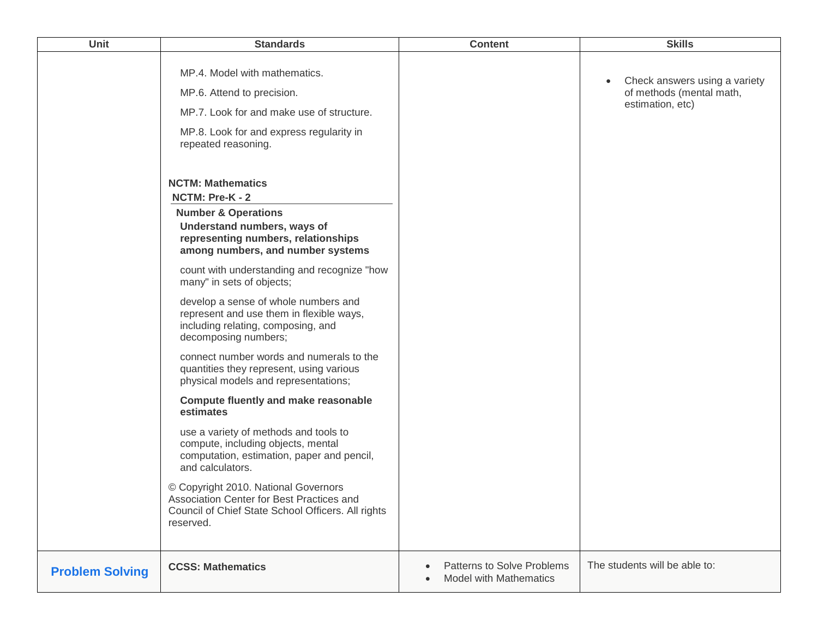| <b>Unit</b>            | <b>Standards</b>                                                                                                                                                                                                           | <b>Content</b>                                                           | <b>Skills</b>                                                                              |
|------------------------|----------------------------------------------------------------------------------------------------------------------------------------------------------------------------------------------------------------------------|--------------------------------------------------------------------------|--------------------------------------------------------------------------------------------|
|                        | MP.4. Model with mathematics.<br>MP.6. Attend to precision.<br>MP.7. Look for and make use of structure.<br>MP.8. Look for and express regularity in<br>repeated reasoning.                                                |                                                                          | Check answers using a variety<br>$\bullet$<br>of methods (mental math,<br>estimation, etc) |
|                        | <b>NCTM: Mathematics</b><br>NCTM: Pre-K - 2<br><b>Number &amp; Operations</b><br>Understand numbers, ways of<br>representing numbers, relationships<br>among numbers, and number systems                                   |                                                                          |                                                                                            |
|                        | count with understanding and recognize "how<br>many" in sets of objects;<br>develop a sense of whole numbers and<br>represent and use them in flexible ways,<br>including relating, composing, and<br>decomposing numbers; |                                                                          |                                                                                            |
|                        | connect number words and numerals to the<br>quantities they represent, using various<br>physical models and representations;<br><b>Compute fluently and make reasonable</b>                                                |                                                                          |                                                                                            |
|                        | estimates<br>use a variety of methods and tools to<br>compute, including objects, mental<br>computation, estimation, paper and pencil,<br>and calculators.                                                                 |                                                                          |                                                                                            |
|                        | © Copyright 2010. National Governors<br>Association Center for Best Practices and<br>Council of Chief State School Officers. All rights<br>reserved.                                                                       |                                                                          |                                                                                            |
| <b>Problem Solving</b> | <b>CCSS: Mathematics</b>                                                                                                                                                                                                   | Patterns to Solve Problems<br>$\bullet$<br><b>Model with Mathematics</b> | The students will be able to:                                                              |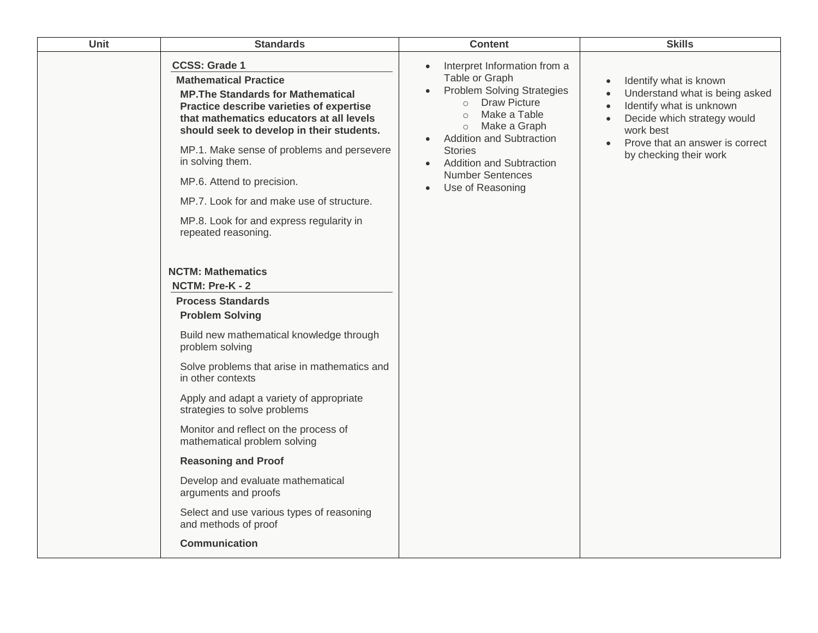| Unit | <b>Standards</b>                                                                                                                                                                                                                                                                                                                                                                                                                                                                                                                                                            | <b>Content</b>                                                                                                                                                                                                                                                                                                                         | <b>Skills</b>                                                                                                                                                                                 |
|------|-----------------------------------------------------------------------------------------------------------------------------------------------------------------------------------------------------------------------------------------------------------------------------------------------------------------------------------------------------------------------------------------------------------------------------------------------------------------------------------------------------------------------------------------------------------------------------|----------------------------------------------------------------------------------------------------------------------------------------------------------------------------------------------------------------------------------------------------------------------------------------------------------------------------------------|-----------------------------------------------------------------------------------------------------------------------------------------------------------------------------------------------|
|      | <b>CCSS: Grade 1</b><br><b>Mathematical Practice</b><br><b>MP. The Standards for Mathematical</b><br>Practice describe varieties of expertise<br>that mathematics educators at all levels<br>should seek to develop in their students.<br>MP.1. Make sense of problems and persevere<br>in solving them.<br>MP.6. Attend to precision.<br>MP.7. Look for and make use of structure.<br>MP.8. Look for and express regularity in<br>repeated reasoning.                                                                                                                      | Interpret Information from a<br>Table or Graph<br><b>Problem Solving Strategies</b><br><b>Draw Picture</b><br>$\circ$<br>Make a Table<br>$\Omega$<br>Make a Graph<br>$\circ$<br>Addition and Subtraction<br><b>Stories</b><br><b>Addition and Subtraction</b><br>$\bullet$<br><b>Number Sentences</b><br>Use of Reasoning<br>$\bullet$ | Identify what is known<br>Understand what is being asked<br>Identify what is unknown<br>Decide which strategy would<br>work best<br>Prove that an answer is correct<br>by checking their work |
|      | <b>NCTM: Mathematics</b><br>NCTM: Pre-K - 2<br><b>Process Standards</b><br><b>Problem Solving</b><br>Build new mathematical knowledge through<br>problem solving<br>Solve problems that arise in mathematics and<br>in other contexts<br>Apply and adapt a variety of appropriate<br>strategies to solve problems<br>Monitor and reflect on the process of<br>mathematical problem solving<br><b>Reasoning and Proof</b><br>Develop and evaluate mathematical<br>arguments and proofs<br>Select and use various types of reasoning<br>and methods of proof<br>Communication |                                                                                                                                                                                                                                                                                                                                        |                                                                                                                                                                                               |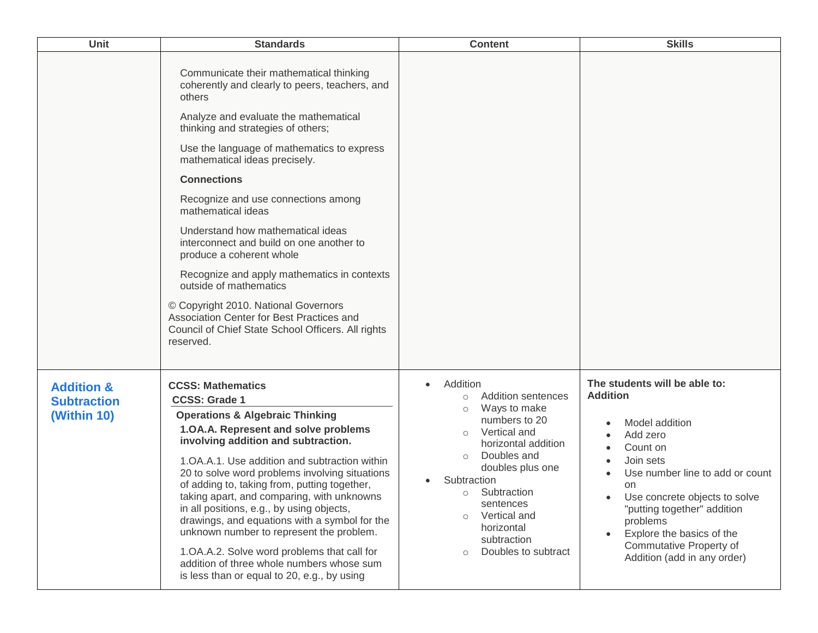| Unit                                                       | <b>Standards</b>                                                                                                                                                                                                                                                                                                                                                                                                                                                                                                                                                                                                                                                                                   | <b>Content</b>                                                                                                                                                                                                                                                                                                             | <b>Skills</b>                                                                                                                                                                                                                                                                                                       |
|------------------------------------------------------------|----------------------------------------------------------------------------------------------------------------------------------------------------------------------------------------------------------------------------------------------------------------------------------------------------------------------------------------------------------------------------------------------------------------------------------------------------------------------------------------------------------------------------------------------------------------------------------------------------------------------------------------------------------------------------------------------------|----------------------------------------------------------------------------------------------------------------------------------------------------------------------------------------------------------------------------------------------------------------------------------------------------------------------------|---------------------------------------------------------------------------------------------------------------------------------------------------------------------------------------------------------------------------------------------------------------------------------------------------------------------|
|                                                            | Communicate their mathematical thinking<br>coherently and clearly to peers, teachers, and<br>others<br>Analyze and evaluate the mathematical<br>thinking and strategies of others;<br>Use the language of mathematics to express<br>mathematical ideas precisely.<br><b>Connections</b><br>Recognize and use connections among<br>mathematical ideas<br>Understand how mathematical ideas<br>interconnect and build on one another to<br>produce a coherent whole<br>Recognize and apply mathematics in contexts<br>outside of mathematics<br>© Copyright 2010. National Governors<br>Association Center for Best Practices and<br>Council of Chief State School Officers. All rights<br>reserved. |                                                                                                                                                                                                                                                                                                                            |                                                                                                                                                                                                                                                                                                                     |
| <b>Addition &amp;</b><br><b>Subtraction</b><br>(Within 10) | <b>CCSS: Mathematics</b><br><b>CCSS: Grade 1</b><br><b>Operations &amp; Algebraic Thinking</b><br>1.OA.A. Represent and solve problems<br>involving addition and subtraction.<br>1. OA.A.1. Use addition and subtraction within<br>20 to solve word problems involving situations<br>of adding to, taking from, putting together,<br>taking apart, and comparing, with unknowns<br>in all positions, e.g., by using objects,<br>drawings, and equations with a symbol for the<br>unknown number to represent the problem.<br>1.OA.A.2. Solve word problems that call for<br>addition of three whole numbers whose sum<br>is less than or equal to 20, e.g., by using                               | Addition<br>Addition sentences<br>$\circ$<br>Ways to make<br>$\circ$<br>numbers to 20<br>Vertical and<br>$\circ$<br>horizontal addition<br>Doubles and<br>$\circ$<br>doubles plus one<br>Subtraction<br>Subtraction<br>$\circ$<br>sentences<br>Vertical and<br>$\circ$<br>horizontal<br>subtraction<br>Doubles to subtract | The students will be able to:<br><b>Addition</b><br>Model addition<br>Add zero<br>Count on<br>Join sets<br>Use number line to add or count<br>on<br>Use concrete objects to solve<br>"putting together" addition<br>problems<br>Explore the basics of the<br>Commutative Property of<br>Addition (add in any order) |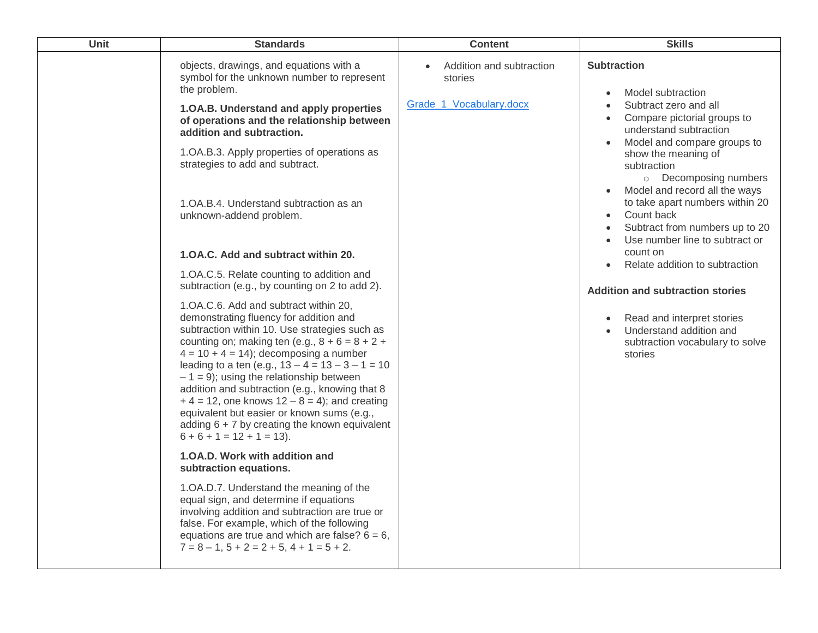| Unit | <b>Standards</b>                                                                                                                                                                                                                                                                                                                                                                                                                                                                                                                                                           | <b>Content</b>                      | <b>Skills</b>                                                                                                                                                   |
|------|----------------------------------------------------------------------------------------------------------------------------------------------------------------------------------------------------------------------------------------------------------------------------------------------------------------------------------------------------------------------------------------------------------------------------------------------------------------------------------------------------------------------------------------------------------------------------|-------------------------------------|-----------------------------------------------------------------------------------------------------------------------------------------------------------------|
|      | objects, drawings, and equations with a<br>symbol for the unknown number to represent<br>the problem.                                                                                                                                                                                                                                                                                                                                                                                                                                                                      | Addition and subtraction<br>stories | <b>Subtraction</b><br>Model subtraction<br>$\bullet$                                                                                                            |
|      | 1.OA.B. Understand and apply properties<br>of operations and the relationship between<br>addition and subtraction.                                                                                                                                                                                                                                                                                                                                                                                                                                                         | Grade_1_Vocabulary.docx             | Subtract zero and all<br>$\bullet$<br>Compare pictorial groups to<br>$\bullet$<br>understand subtraction<br>Model and compare groups to<br>$\bullet$            |
|      | 1.OA.B.3. Apply properties of operations as<br>strategies to add and subtract.                                                                                                                                                                                                                                                                                                                                                                                                                                                                                             |                                     | show the meaning of<br>subtraction<br>o Decomposing numbers                                                                                                     |
|      | 1. OA.B.4. Understand subtraction as an<br>unknown-addend problem.                                                                                                                                                                                                                                                                                                                                                                                                                                                                                                         |                                     | Model and record all the ways<br>to take apart numbers within 20<br>Count back<br>Subtract from numbers up to 20<br>$\bullet$<br>Use number line to subtract or |
|      | 1.0A.C. Add and subtract within 20.                                                                                                                                                                                                                                                                                                                                                                                                                                                                                                                                        |                                     | count on<br>Relate addition to subtraction                                                                                                                      |
|      | 1.OA.C.5. Relate counting to addition and<br>subtraction (e.g., by counting on 2 to add 2).                                                                                                                                                                                                                                                                                                                                                                                                                                                                                |                                     | <b>Addition and subtraction stories</b>                                                                                                                         |
|      | 1.OA.C.6. Add and subtract within 20,<br>demonstrating fluency for addition and<br>subtraction within 10. Use strategies such as<br>counting on; making ten (e.g., $8 + 6 = 8 + 2 +$<br>$4 = 10 + 4 = 14$ ; decomposing a number<br>leading to a ten (e.g., $13 - 4 = 13 - 3 - 1 = 10$<br>$-1 = 9$ ; using the relationship between<br>addition and subtraction (e.g., knowing that 8<br>$+4 = 12$ , one knows $12 - 8 = 4$ ; and creating<br>equivalent but easier or known sums (e.g.,<br>adding $6 + 7$ by creating the known equivalent<br>$6 + 6 + 1 = 12 + 1 = 13$ . |                                     | Read and interpret stories<br>$\bullet$<br>Understand addition and<br>subtraction vocabulary to solve<br>stories                                                |
|      | 1.0A.D. Work with addition and<br>subtraction equations.                                                                                                                                                                                                                                                                                                                                                                                                                                                                                                                   |                                     |                                                                                                                                                                 |
|      | 1. OA.D. 7. Understand the meaning of the<br>equal sign, and determine if equations<br>involving addition and subtraction are true or<br>false. For example, which of the following<br>equations are true and which are false? $6 = 6$ ,<br>$7 = 8 - 1$ , $5 + 2 = 2 + 5$ , $4 + 1 = 5 + 2$ .                                                                                                                                                                                                                                                                              |                                     |                                                                                                                                                                 |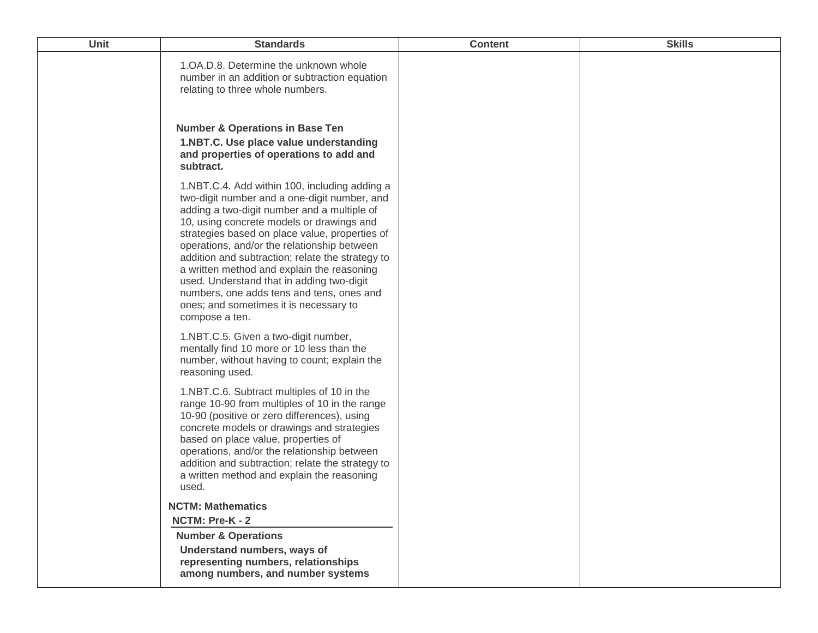| <b>Unit</b> | <b>Standards</b>                                                                                                                                                                                                                                                                                                                                                                                                                                                                                                                                   | <b>Content</b> | <b>Skills</b> |
|-------------|----------------------------------------------------------------------------------------------------------------------------------------------------------------------------------------------------------------------------------------------------------------------------------------------------------------------------------------------------------------------------------------------------------------------------------------------------------------------------------------------------------------------------------------------------|----------------|---------------|
|             | 1. OA. D. 8. Determine the unknown whole<br>number in an addition or subtraction equation<br>relating to three whole numbers.                                                                                                                                                                                                                                                                                                                                                                                                                      |                |               |
|             | <b>Number &amp; Operations in Base Ten</b><br>1.NBT.C. Use place value understanding<br>and properties of operations to add and<br>subtract.                                                                                                                                                                                                                                                                                                                                                                                                       |                |               |
|             | 1.NBT.C.4. Add within 100, including adding a<br>two-digit number and a one-digit number, and<br>adding a two-digit number and a multiple of<br>10, using concrete models or drawings and<br>strategies based on place value, properties of<br>operations, and/or the relationship between<br>addition and subtraction; relate the strategy to<br>a written method and explain the reasoning<br>used. Understand that in adding two-digit<br>numbers, one adds tens and tens, ones and<br>ones; and sometimes it is necessary to<br>compose a ten. |                |               |
|             | 1.NBT.C.5. Given a two-digit number,<br>mentally find 10 more or 10 less than the<br>number, without having to count; explain the<br>reasoning used.                                                                                                                                                                                                                                                                                                                                                                                               |                |               |
|             | 1.NBT.C.6. Subtract multiples of 10 in the<br>range 10-90 from multiples of 10 in the range<br>10-90 (positive or zero differences), using<br>concrete models or drawings and strategies<br>based on place value, properties of<br>operations, and/or the relationship between<br>addition and subtraction; relate the strategy to<br>a written method and explain the reasoning<br>used.                                                                                                                                                          |                |               |
|             | <b>NCTM: Mathematics</b>                                                                                                                                                                                                                                                                                                                                                                                                                                                                                                                           |                |               |
|             | NCTM: Pre-K - 2                                                                                                                                                                                                                                                                                                                                                                                                                                                                                                                                    |                |               |
|             | <b>Number &amp; Operations</b>                                                                                                                                                                                                                                                                                                                                                                                                                                                                                                                     |                |               |
|             | Understand numbers, ways of<br>representing numbers, relationships<br>among numbers, and number systems                                                                                                                                                                                                                                                                                                                                                                                                                                            |                |               |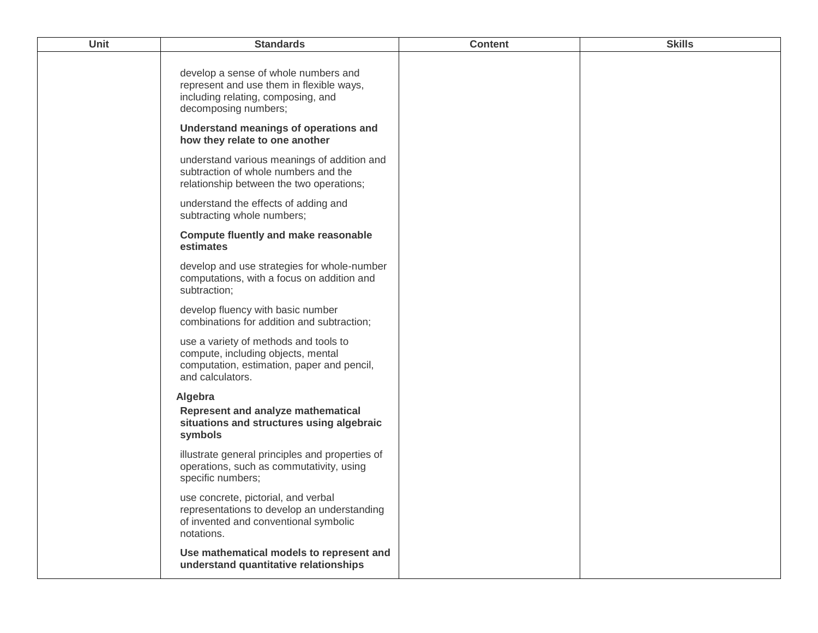| Unit | <b>Standards</b>                                                                                                                               | <b>Content</b> | <b>Skills</b> |
|------|------------------------------------------------------------------------------------------------------------------------------------------------|----------------|---------------|
|      | develop a sense of whole numbers and<br>represent and use them in flexible ways,<br>including relating, composing, and<br>decomposing numbers; |                |               |
|      | Understand meanings of operations and<br>how they relate to one another                                                                        |                |               |
|      | understand various meanings of addition and<br>subtraction of whole numbers and the<br>relationship between the two operations;                |                |               |
|      | understand the effects of adding and<br>subtracting whole numbers;                                                                             |                |               |
|      | <b>Compute fluently and make reasonable</b><br>estimates                                                                                       |                |               |
|      | develop and use strategies for whole-number<br>computations, with a focus on addition and<br>subtraction;                                      |                |               |
|      | develop fluency with basic number<br>combinations for addition and subtraction;                                                                |                |               |
|      | use a variety of methods and tools to<br>compute, including objects, mental<br>computation, estimation, paper and pencil,<br>and calculators.  |                |               |
|      | Algebra<br>Represent and analyze mathematical<br>situations and structures using algebraic<br>symbols                                          |                |               |
|      | illustrate general principles and properties of<br>operations, such as commutativity, using<br>specific numbers;                               |                |               |
|      | use concrete, pictorial, and verbal<br>representations to develop an understanding<br>of invented and conventional symbolic<br>notations.      |                |               |
|      | Use mathematical models to represent and<br>understand quantitative relationships                                                              |                |               |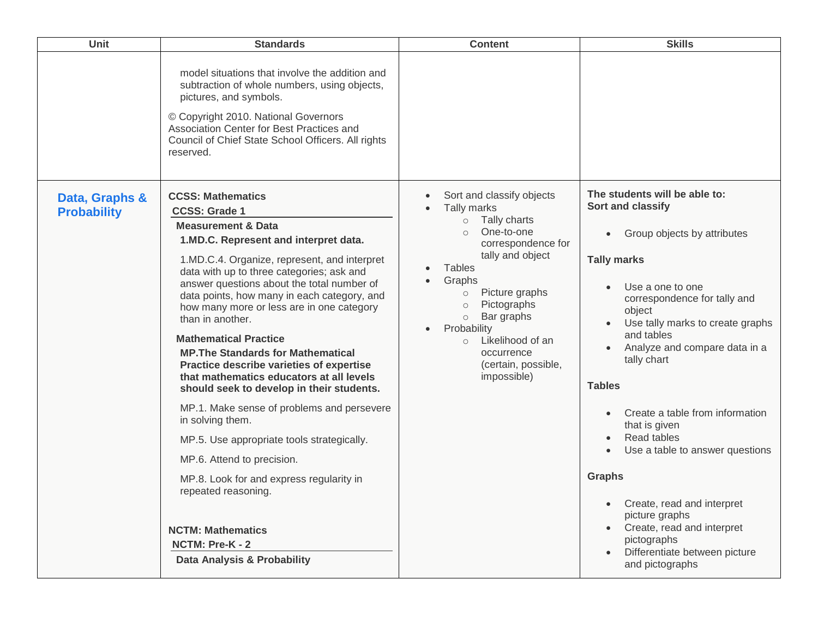| Unit                                 | <b>Standards</b>                                                                                                                                                                                                                                                                                                                                                                                                                                                                                                                                                                                        | <b>Content</b>                                                                                                                                                                                                                                                                                                                                                                             | <b>Skills</b>                                                                                                                                                                                                                                                                                         |
|--------------------------------------|---------------------------------------------------------------------------------------------------------------------------------------------------------------------------------------------------------------------------------------------------------------------------------------------------------------------------------------------------------------------------------------------------------------------------------------------------------------------------------------------------------------------------------------------------------------------------------------------------------|--------------------------------------------------------------------------------------------------------------------------------------------------------------------------------------------------------------------------------------------------------------------------------------------------------------------------------------------------------------------------------------------|-------------------------------------------------------------------------------------------------------------------------------------------------------------------------------------------------------------------------------------------------------------------------------------------------------|
|                                      | model situations that involve the addition and<br>subtraction of whole numbers, using objects,<br>pictures, and symbols.<br>© Copyright 2010. National Governors<br>Association Center for Best Practices and<br>Council of Chief State School Officers. All rights<br>reserved.                                                                                                                                                                                                                                                                                                                        |                                                                                                                                                                                                                                                                                                                                                                                            |                                                                                                                                                                                                                                                                                                       |
| Data, Graphs &<br><b>Probability</b> | <b>CCSS: Mathematics</b><br><b>CCSS: Grade 1</b><br><b>Measurement &amp; Data</b><br>1.MD.C. Represent and interpret data.<br>1.MD.C.4. Organize, represent, and interpret<br>data with up to three categories; ask and<br>answer questions about the total number of<br>data points, how many in each category, and<br>how many more or less are in one category<br>than in another.<br><b>Mathematical Practice</b><br><b>MP. The Standards for Mathematical</b><br>Practice describe varieties of expertise<br>that mathematics educators at all levels<br>should seek to develop in their students. | Sort and classify objects<br>$\bullet$<br>Tally marks<br>Tally charts<br>$\circ$<br>One-to-one<br>$\circ$<br>correspondence for<br>tally and object<br><b>Tables</b><br>$\bullet$<br>Graphs<br>Picture graphs<br>$\circ$<br>Pictographs<br>$\circ$<br>Bar graphs<br>$\circ$<br>Probability<br>$\bullet$<br>Likelihood of an<br>$\circ$<br>occurrence<br>(certain, possible,<br>impossible) | The students will be able to:<br>Sort and classify<br>Group objects by attributes<br>$\bullet$<br><b>Tally marks</b><br>Use a one to one<br>correspondence for tally and<br>object<br>Use tally marks to create graphs<br>and tables<br>Analyze and compare data in a<br>tally chart<br><b>Tables</b> |
|                                      | MP.1. Make sense of problems and persevere<br>in solving them.<br>MP.5. Use appropriate tools strategically.                                                                                                                                                                                                                                                                                                                                                                                                                                                                                            |                                                                                                                                                                                                                                                                                                                                                                                            | Create a table from information<br>$\bullet$<br>that is given<br>Read tables<br>Use a table to answer questions<br>$\bullet$                                                                                                                                                                          |
|                                      | MP.6. Attend to precision.                                                                                                                                                                                                                                                                                                                                                                                                                                                                                                                                                                              |                                                                                                                                                                                                                                                                                                                                                                                            |                                                                                                                                                                                                                                                                                                       |
|                                      | MP.8. Look for and express regularity in<br>repeated reasoning.<br><b>NCTM: Mathematics</b><br>NCTM: Pre-K - 2                                                                                                                                                                                                                                                                                                                                                                                                                                                                                          |                                                                                                                                                                                                                                                                                                                                                                                            | <b>Graphs</b><br>Create, read and interpret<br>$\bullet$<br>picture graphs<br>Create, read and interpret<br>pictographs                                                                                                                                                                               |
|                                      | Data Analysis & Probability                                                                                                                                                                                                                                                                                                                                                                                                                                                                                                                                                                             |                                                                                                                                                                                                                                                                                                                                                                                            | Differentiate between picture<br>and pictographs                                                                                                                                                                                                                                                      |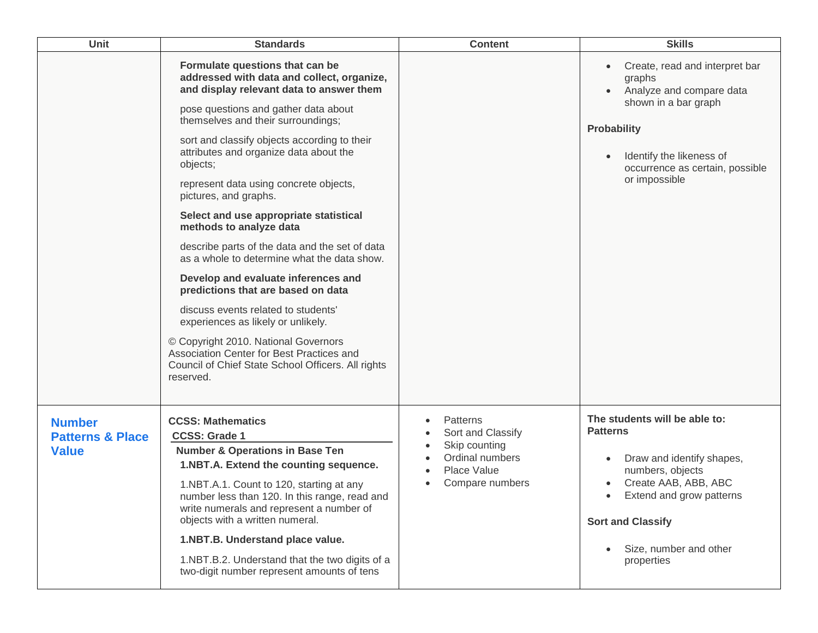| <b>Unit</b>                                                  | <b>Standards</b>                                                                                                                                                                                                                                                                                                                                                                                                                                                                                                                                                                                                                                                                                                                                                                                                                                                         | <b>Content</b>                                                                                      | <b>Skills</b>                                                                                                                                                                                                                                       |
|--------------------------------------------------------------|--------------------------------------------------------------------------------------------------------------------------------------------------------------------------------------------------------------------------------------------------------------------------------------------------------------------------------------------------------------------------------------------------------------------------------------------------------------------------------------------------------------------------------------------------------------------------------------------------------------------------------------------------------------------------------------------------------------------------------------------------------------------------------------------------------------------------------------------------------------------------|-----------------------------------------------------------------------------------------------------|-----------------------------------------------------------------------------------------------------------------------------------------------------------------------------------------------------------------------------------------------------|
|                                                              | Formulate questions that can be<br>addressed with data and collect, organize,<br>and display relevant data to answer them<br>pose questions and gather data about<br>themselves and their surroundings;<br>sort and classify objects according to their<br>attributes and organize data about the<br>objects;<br>represent data using concrete objects,<br>pictures, and graphs.<br>Select and use appropriate statistical<br>methods to analyze data<br>describe parts of the data and the set of data<br>as a whole to determine what the data show.<br>Develop and evaluate inferences and<br>predictions that are based on data<br>discuss events related to students'<br>experiences as likely or unlikely.<br>© Copyright 2010. National Governors<br>Association Center for Best Practices and<br>Council of Chief State School Officers. All rights<br>reserved. |                                                                                                     | Create, read and interpret bar<br>$\bullet$<br>graphs<br>Analyze and compare data<br>shown in a bar graph<br><b>Probability</b><br>Identify the likeness of<br>occurrence as certain, possible<br>or impossible                                     |
| <b>Number</b><br><b>Patterns &amp; Place</b><br><b>Value</b> | <b>CCSS: Mathematics</b><br><b>CCSS: Grade 1</b><br><b>Number &amp; Operations in Base Ten</b><br>1.NBT.A. Extend the counting sequence.<br>1.NBT.A.1. Count to 120, starting at any<br>number less than 120. In this range, read and<br>write numerals and represent a number of<br>objects with a written numeral.<br>1.NBT.B. Understand place value.<br>1.NBT.B.2. Understand that the two digits of a<br>two-digit number represent amounts of tens                                                                                                                                                                                                                                                                                                                                                                                                                 | Patterns<br>Sort and Classify<br>Skip counting<br>Ordinal numbers<br>Place Value<br>Compare numbers | The students will be able to:<br><b>Patterns</b><br>Draw and identify shapes,<br>$\bullet$<br>numbers, objects<br>Create AAB, ABB, ABC<br>Extend and grow patterns<br><b>Sort and Classify</b><br>Size, number and other<br>$\bullet$<br>properties |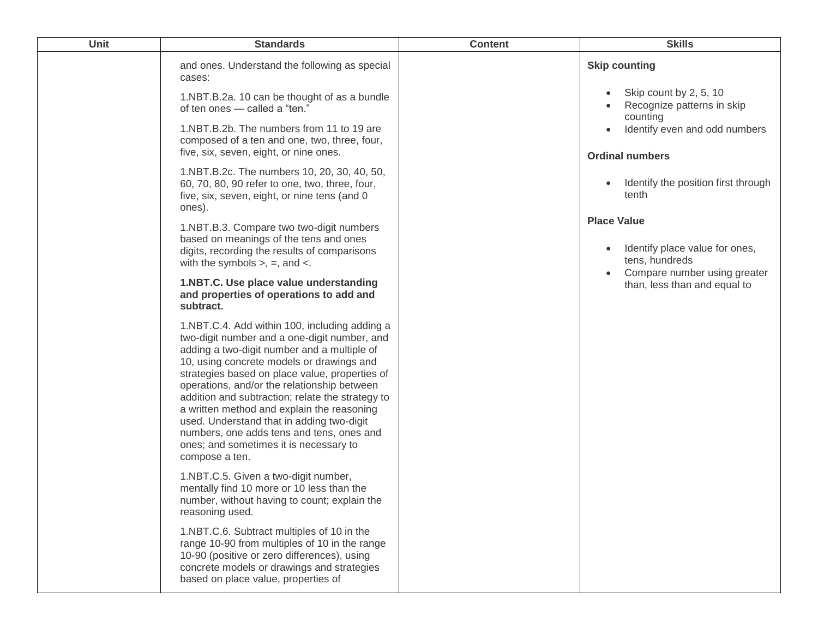| Unit | <b>Standards</b>                                                                                                                                                                                                                                                                                                                                                                                                                                                                                                                                   | <b>Content</b> | <b>Skills</b>                                                                                          |
|------|----------------------------------------------------------------------------------------------------------------------------------------------------------------------------------------------------------------------------------------------------------------------------------------------------------------------------------------------------------------------------------------------------------------------------------------------------------------------------------------------------------------------------------------------------|----------------|--------------------------------------------------------------------------------------------------------|
|      | and ones. Understand the following as special<br>cases:                                                                                                                                                                                                                                                                                                                                                                                                                                                                                            |                | <b>Skip counting</b>                                                                                   |
|      | 1.NBT.B.2a. 10 can be thought of as a bundle<br>of ten ones - called a "ten."                                                                                                                                                                                                                                                                                                                                                                                                                                                                      |                | Skip count by 2, 5, 10<br>Recognize patterns in skip<br>counting                                       |
|      | 1.NBT.B.2b. The numbers from 11 to 19 are<br>composed of a ten and one, two, three, four,<br>five, six, seven, eight, or nine ones.                                                                                                                                                                                                                                                                                                                                                                                                                |                | Identify even and odd numbers<br><b>Ordinal numbers</b>                                                |
|      | 1.NBT.B.2c. The numbers 10, 20, 30, 40, 50,<br>60, 70, 80, 90 refer to one, two, three, four,<br>five, six, seven, eight, or nine tens (and 0)<br>ones).                                                                                                                                                                                                                                                                                                                                                                                           |                | Identify the position first through<br>tenth                                                           |
|      | 1.NBT.B.3. Compare two two-digit numbers<br>based on meanings of the tens and ones<br>digits, recording the results of comparisons<br>with the symbols $>$ , $=$ , and $\lt$ .                                                                                                                                                                                                                                                                                                                                                                     |                | <b>Place Value</b><br>Identify place value for ones,<br>tens, hundreds<br>Compare number using greater |
|      | 1.NBT.C. Use place value understanding<br>and properties of operations to add and<br>subtract.                                                                                                                                                                                                                                                                                                                                                                                                                                                     |                | than, less than and equal to                                                                           |
|      | 1.NBT.C.4. Add within 100, including adding a<br>two-digit number and a one-digit number, and<br>adding a two-digit number and a multiple of<br>10, using concrete models or drawings and<br>strategies based on place value, properties of<br>operations, and/or the relationship between<br>addition and subtraction; relate the strategy to<br>a written method and explain the reasoning<br>used. Understand that in adding two-digit<br>numbers, one adds tens and tens, ones and<br>ones; and sometimes it is necessary to<br>compose a ten. |                |                                                                                                        |
|      | 1.NBT.C.5. Given a two-digit number,<br>mentally find 10 more or 10 less than the<br>number, without having to count; explain the<br>reasoning used.                                                                                                                                                                                                                                                                                                                                                                                               |                |                                                                                                        |
|      | 1.NBT.C.6. Subtract multiples of 10 in the<br>range 10-90 from multiples of 10 in the range<br>10-90 (positive or zero differences), using<br>concrete models or drawings and strategies<br>based on place value, properties of                                                                                                                                                                                                                                                                                                                    |                |                                                                                                        |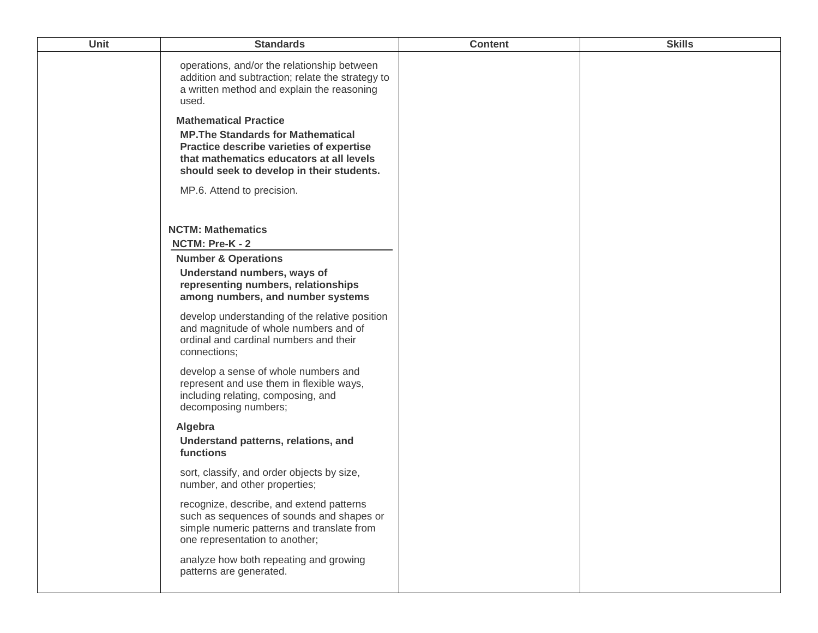| <b>Unit</b> | <b>Standards</b>                                                                                                                                                      | <b>Content</b> | <b>Skills</b> |
|-------------|-----------------------------------------------------------------------------------------------------------------------------------------------------------------------|----------------|---------------|
|             | operations, and/or the relationship between<br>addition and subtraction; relate the strategy to<br>a written method and explain the reasoning<br>used.                |                |               |
|             | <b>Mathematical Practice</b><br><b>MP. The Standards for Mathematical</b><br>Practice describe varieties of expertise                                                 |                |               |
|             | that mathematics educators at all levels<br>should seek to develop in their students.                                                                                 |                |               |
|             | MP.6. Attend to precision.                                                                                                                                            |                |               |
|             | <b>NCTM: Mathematics</b><br>NCTM: Pre-K - 2                                                                                                                           |                |               |
|             | <b>Number &amp; Operations</b>                                                                                                                                        |                |               |
|             | Understand numbers, ways of<br>representing numbers, relationships<br>among numbers, and number systems                                                               |                |               |
|             | develop understanding of the relative position<br>and magnitude of whole numbers and of<br>ordinal and cardinal numbers and their<br>connections;                     |                |               |
|             | develop a sense of whole numbers and<br>represent and use them in flexible ways,<br>including relating, composing, and<br>decomposing numbers;                        |                |               |
|             | Algebra<br>Understand patterns, relations, and<br>functions                                                                                                           |                |               |
|             | sort, classify, and order objects by size,<br>number, and other properties;                                                                                           |                |               |
|             | recognize, describe, and extend patterns<br>such as sequences of sounds and shapes or<br>simple numeric patterns and translate from<br>one representation to another; |                |               |
|             | analyze how both repeating and growing<br>patterns are generated.                                                                                                     |                |               |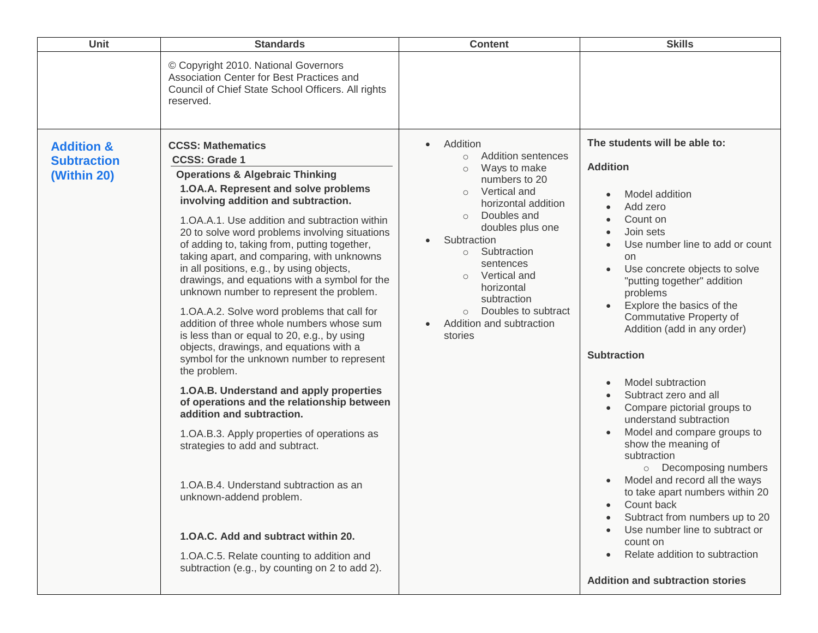| <b>Unit</b>                                                | <b>Standards</b>                                                                                                                                                                                                                                                                                                                                                                                                                                                                                                                                                                                                                                                                                                                                                                                                                                                                                                                                                                                                                                                                                                                                                                                      | <b>Content</b>                                                                                                                                                                                                                                                                                                                                                                                     | <b>Skills</b>                                                                                                                                                                                                                                                                                                                                                                                                                                                                                                                                                                                                                                                                                                                                                                                                                                                                        |
|------------------------------------------------------------|-------------------------------------------------------------------------------------------------------------------------------------------------------------------------------------------------------------------------------------------------------------------------------------------------------------------------------------------------------------------------------------------------------------------------------------------------------------------------------------------------------------------------------------------------------------------------------------------------------------------------------------------------------------------------------------------------------------------------------------------------------------------------------------------------------------------------------------------------------------------------------------------------------------------------------------------------------------------------------------------------------------------------------------------------------------------------------------------------------------------------------------------------------------------------------------------------------|----------------------------------------------------------------------------------------------------------------------------------------------------------------------------------------------------------------------------------------------------------------------------------------------------------------------------------------------------------------------------------------------------|--------------------------------------------------------------------------------------------------------------------------------------------------------------------------------------------------------------------------------------------------------------------------------------------------------------------------------------------------------------------------------------------------------------------------------------------------------------------------------------------------------------------------------------------------------------------------------------------------------------------------------------------------------------------------------------------------------------------------------------------------------------------------------------------------------------------------------------------------------------------------------------|
|                                                            | © Copyright 2010. National Governors<br>Association Center for Best Practices and<br>Council of Chief State School Officers. All rights<br>reserved.                                                                                                                                                                                                                                                                                                                                                                                                                                                                                                                                                                                                                                                                                                                                                                                                                                                                                                                                                                                                                                                  |                                                                                                                                                                                                                                                                                                                                                                                                    |                                                                                                                                                                                                                                                                                                                                                                                                                                                                                                                                                                                                                                                                                                                                                                                                                                                                                      |
| <b>Addition &amp;</b><br><b>Subtraction</b><br>(Within 20) | <b>CCSS: Mathematics</b><br><b>CCSS: Grade 1</b><br><b>Operations &amp; Algebraic Thinking</b><br>1.OA.A. Represent and solve problems<br>involving addition and subtraction.<br>1.OA.A.1. Use addition and subtraction within<br>20 to solve word problems involving situations<br>of adding to, taking from, putting together,<br>taking apart, and comparing, with unknowns<br>in all positions, e.g., by using objects,<br>drawings, and equations with a symbol for the<br>unknown number to represent the problem.<br>1.OA.A.2. Solve word problems that call for<br>addition of three whole numbers whose sum<br>is less than or equal to 20, e.g., by using<br>objects, drawings, and equations with a<br>symbol for the unknown number to represent<br>the problem.<br>1.0A.B. Understand and apply properties<br>of operations and the relationship between<br>addition and subtraction.<br>1. OA. B. 3. Apply properties of operations as<br>strategies to add and subtract.<br>1. OA. B. 4. Understand subtraction as an<br>unknown-addend problem.<br>1.OA.C. Add and subtract within 20.<br>1.OA.C.5. Relate counting to addition and<br>subtraction (e.g., by counting on 2 to add 2). | Addition<br>$\bullet$<br><b>Addition sentences</b><br>$\circ$<br>Ways to make<br>$\circ$<br>numbers to 20<br>Vertical and<br>$\circ$<br>horizontal addition<br>Doubles and<br>$\circ$<br>doubles plus one<br>Subtraction<br>Subtraction<br>$\circ$<br>sentences<br>Vertical and<br>$\circ$<br>horizontal<br>subtraction<br>Doubles to subtract<br>Addition and subtraction<br>$\bullet$<br>stories | The students will be able to:<br><b>Addition</b><br>Model addition<br>Add zero<br>Count on<br>Join sets<br>Use number line to add or count<br>on<br>Use concrete objects to solve<br>$\bullet$<br>"putting together" addition<br>problems<br>Explore the basics of the<br>Commutative Property of<br>Addition (add in any order)<br><b>Subtraction</b><br>Model subtraction<br>$\bullet$<br>Subtract zero and all<br>$\bullet$<br>Compare pictorial groups to<br>understand subtraction<br>Model and compare groups to<br>show the meaning of<br>subtraction<br>Decomposing numbers<br>$\circ$<br>Model and record all the ways<br>$\bullet$<br>to take apart numbers within 20<br>Count back<br>$\bullet$<br>Subtract from numbers up to 20<br>Use number line to subtract or<br>count on<br>Relate addition to subtraction<br>$\bullet$<br><b>Addition and subtraction stories</b> |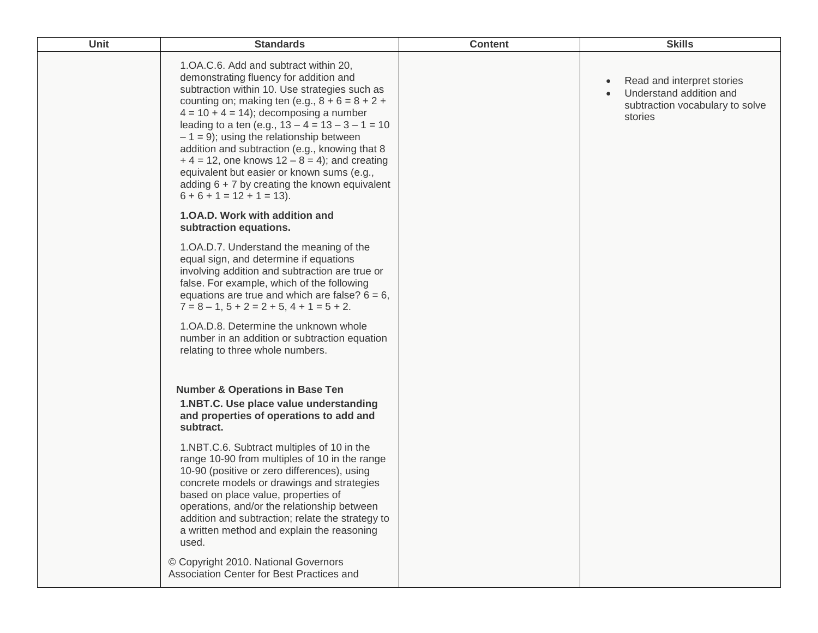| Unit | <b>Standards</b>                                                                                                                                                                                                                                                                                                                                                                                                                                                                                                                                                             | <b>Content</b> | <b>Skills</b>                                                                                                    |
|------|------------------------------------------------------------------------------------------------------------------------------------------------------------------------------------------------------------------------------------------------------------------------------------------------------------------------------------------------------------------------------------------------------------------------------------------------------------------------------------------------------------------------------------------------------------------------------|----------------|------------------------------------------------------------------------------------------------------------------|
|      | 1.OA.C.6. Add and subtract within 20,<br>demonstrating fluency for addition and<br>subtraction within 10. Use strategies such as<br>counting on; making ten (e.g., $8 + 6 = 8 + 2 +$<br>$4 = 10 + 4 = 14$ ; decomposing a number<br>leading to a ten (e.g., $13 - 4 = 13 - 3 - 1 = 10$<br>$-1 = 9$ ); using the relationship between<br>addition and subtraction (e.g., knowing that 8<br>$+ 4 = 12$ , one knows $12 - 8 = 4$ ; and creating<br>equivalent but easier or known sums (e.g.,<br>adding $6 + 7$ by creating the known equivalent<br>$6 + 6 + 1 = 12 + 1 = 13$ . |                | Read and interpret stories<br>$\bullet$<br>Understand addition and<br>subtraction vocabulary to solve<br>stories |
|      | 1.0A.D. Work with addition and<br>subtraction equations.                                                                                                                                                                                                                                                                                                                                                                                                                                                                                                                     |                |                                                                                                                  |
|      | 1.OA.D.7. Understand the meaning of the<br>equal sign, and determine if equations<br>involving addition and subtraction are true or<br>false. For example, which of the following<br>equations are true and which are false? $6 = 6$ ,<br>$7 = 8 - 1$ , $5 + 2 = 2 + 5$ , $4 + 1 = 5 + 2$ .                                                                                                                                                                                                                                                                                  |                |                                                                                                                  |
|      | 1.OA.D.8. Determine the unknown whole<br>number in an addition or subtraction equation<br>relating to three whole numbers.                                                                                                                                                                                                                                                                                                                                                                                                                                                   |                |                                                                                                                  |
|      | <b>Number &amp; Operations in Base Ten</b><br>1.NBT.C. Use place value understanding<br>and properties of operations to add and<br>subtract.                                                                                                                                                                                                                                                                                                                                                                                                                                 |                |                                                                                                                  |
|      | 1.NBT.C.6. Subtract multiples of 10 in the<br>range 10-90 from multiples of 10 in the range<br>10-90 (positive or zero differences), using<br>concrete models or drawings and strategies<br>based on place value, properties of<br>operations, and/or the relationship between<br>addition and subtraction; relate the strategy to<br>a written method and explain the reasoning<br>used.                                                                                                                                                                                    |                |                                                                                                                  |
|      | © Copyright 2010. National Governors<br>Association Center for Best Practices and                                                                                                                                                                                                                                                                                                                                                                                                                                                                                            |                |                                                                                                                  |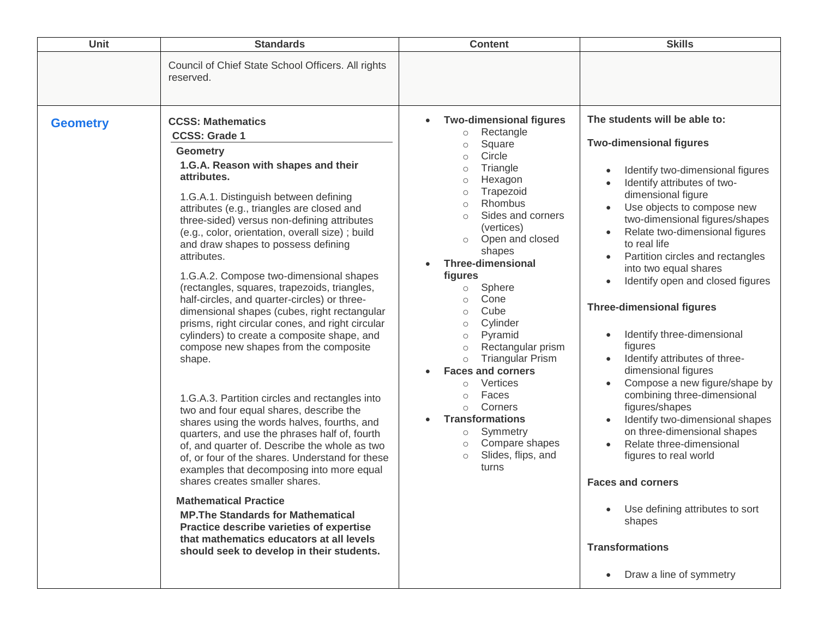| <b>Unit</b>     | <b>Standards</b>                                                                                                                                                                                                                                                                                                                                                                                                                                                                                                                                                                                                                                                                                                                                                                                                                                                                                                                                                                                                                                                                                                                                                                                                                                                                                                             | <b>Content</b>                                                                                                                                                                                                                                                                                                                                                                                                                                                                                                                                                                                                                                                                                                              | <b>Skills</b>                                                                                                                                                                                                                                                                                                                                                                                                                                                                                                                                                                                                                                                                                                                                                                                                                                                                                               |
|-----------------|------------------------------------------------------------------------------------------------------------------------------------------------------------------------------------------------------------------------------------------------------------------------------------------------------------------------------------------------------------------------------------------------------------------------------------------------------------------------------------------------------------------------------------------------------------------------------------------------------------------------------------------------------------------------------------------------------------------------------------------------------------------------------------------------------------------------------------------------------------------------------------------------------------------------------------------------------------------------------------------------------------------------------------------------------------------------------------------------------------------------------------------------------------------------------------------------------------------------------------------------------------------------------------------------------------------------------|-----------------------------------------------------------------------------------------------------------------------------------------------------------------------------------------------------------------------------------------------------------------------------------------------------------------------------------------------------------------------------------------------------------------------------------------------------------------------------------------------------------------------------------------------------------------------------------------------------------------------------------------------------------------------------------------------------------------------------|-------------------------------------------------------------------------------------------------------------------------------------------------------------------------------------------------------------------------------------------------------------------------------------------------------------------------------------------------------------------------------------------------------------------------------------------------------------------------------------------------------------------------------------------------------------------------------------------------------------------------------------------------------------------------------------------------------------------------------------------------------------------------------------------------------------------------------------------------------------------------------------------------------------|
|                 | Council of Chief State School Officers. All rights<br>reserved.                                                                                                                                                                                                                                                                                                                                                                                                                                                                                                                                                                                                                                                                                                                                                                                                                                                                                                                                                                                                                                                                                                                                                                                                                                                              |                                                                                                                                                                                                                                                                                                                                                                                                                                                                                                                                                                                                                                                                                                                             |                                                                                                                                                                                                                                                                                                                                                                                                                                                                                                                                                                                                                                                                                                                                                                                                                                                                                                             |
| <b>Geometry</b> | <b>CCSS: Mathematics</b><br><b>CCSS: Grade 1</b><br><b>Geometry</b><br>1.G.A. Reason with shapes and their<br>attributes.<br>1.G.A.1. Distinguish between defining<br>attributes (e.g., triangles are closed and<br>three-sided) versus non-defining attributes<br>(e.g., color, orientation, overall size) ; build<br>and draw shapes to possess defining<br>attributes.<br>1.G.A.2. Compose two-dimensional shapes<br>(rectangles, squares, trapezoids, triangles,<br>half-circles, and quarter-circles) or three-<br>dimensional shapes (cubes, right rectangular<br>prisms, right circular cones, and right circular<br>cylinders) to create a composite shape, and<br>compose new shapes from the composite<br>shape.<br>1.G.A.3. Partition circles and rectangles into<br>two and four equal shares, describe the<br>shares using the words halves, fourths, and<br>quarters, and use the phrases half of, fourth<br>of, and quarter of. Describe the whole as two<br>of, or four of the shares. Understand for these<br>examples that decomposing into more equal<br>shares creates smaller shares.<br><b>Mathematical Practice</b><br><b>MP. The Standards for Mathematical</b><br>Practice describe varieties of expertise<br>that mathematics educators at all levels<br>should seek to develop in their students. | <b>Two-dimensional figures</b><br>Rectangle<br>$\circ$<br>Square<br>$\circ$<br>Circle<br>$\circ$<br>Triangle<br>$\circ$<br>Hexagon<br>$\circ$<br>Trapezoid<br>$\circ$<br>Rhombus<br>$\circ$<br>Sides and corners<br>$\circ$<br>(vertices)<br>Open and closed<br>$\circ$<br>shapes<br><b>Three-dimensional</b><br>figures<br>Sphere<br>$\circ$<br>Cone<br>$\circ$<br>Cube<br>$\circ$<br>Cylinder<br>$\circ$<br>Pyramid<br>$\circ$<br>Rectangular prism<br>$\circ$<br><b>Triangular Prism</b><br>$\circ$<br><b>Faces and corners</b><br>Vertices<br>$\circ$<br>Faces<br>$\circ$<br>Corners<br>$\circ$<br><b>Transformations</b><br>Symmetry<br>$\circ$<br>Compare shapes<br>$\circ$<br>Slides, flips, and<br>$\circ$<br>turns | The students will be able to:<br><b>Two-dimensional figures</b><br>Identify two-dimensional figures<br>Identify attributes of two-<br>dimensional figure<br>Use objects to compose new<br>two-dimensional figures/shapes<br>Relate two-dimensional figures<br>to real life<br>Partition circles and rectangles<br>into two equal shares<br>Identify open and closed figures<br><b>Three-dimensional figures</b><br>Identify three-dimensional<br>$\bullet$<br>figures<br>Identify attributes of three-<br>dimensional figures<br>Compose a new figure/shape by<br>$\bullet$<br>combining three-dimensional<br>figures/shapes<br>Identify two-dimensional shapes<br>$\bullet$<br>on three-dimensional shapes<br>Relate three-dimensional<br>figures to real world<br><b>Faces and corners</b><br>Use defining attributes to sort<br>shapes<br><b>Transformations</b><br>Draw a line of symmetry<br>$\bullet$ |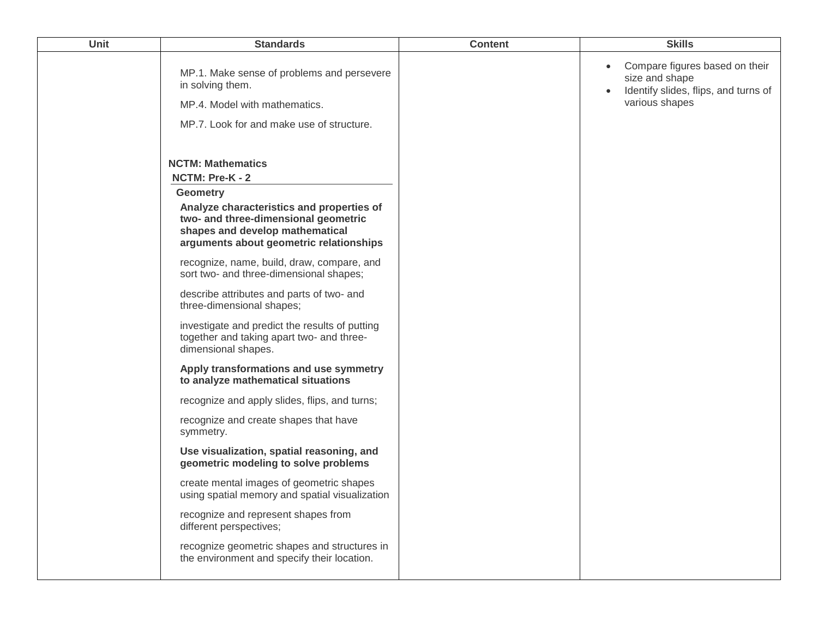| Unit | <b>Standards</b>                                                                                                                                                | <b>Content</b> | <b>Skills</b>                                                                                              |
|------|-----------------------------------------------------------------------------------------------------------------------------------------------------------------|----------------|------------------------------------------------------------------------------------------------------------|
|      | MP.1. Make sense of problems and persevere<br>in solving them.<br>MP.4. Model with mathematics.<br>MP.7. Look for and make use of structure.                    |                | Compare figures based on their<br>size and shape<br>Identify slides, flips, and turns of<br>various shapes |
|      | <b>NCTM: Mathematics</b>                                                                                                                                        |                |                                                                                                            |
|      | NCTM: Pre-K - 2                                                                                                                                                 |                |                                                                                                            |
|      | <b>Geometry</b>                                                                                                                                                 |                |                                                                                                            |
|      | Analyze characteristics and properties of<br>two- and three-dimensional geometric<br>shapes and develop mathematical<br>arguments about geometric relationships |                |                                                                                                            |
|      | recognize, name, build, draw, compare, and<br>sort two- and three-dimensional shapes;                                                                           |                |                                                                                                            |
|      | describe attributes and parts of two- and<br>three-dimensional shapes;                                                                                          |                |                                                                                                            |
|      | investigate and predict the results of putting<br>together and taking apart two- and three-<br>dimensional shapes.                                              |                |                                                                                                            |
|      | Apply transformations and use symmetry<br>to analyze mathematical situations                                                                                    |                |                                                                                                            |
|      | recognize and apply slides, flips, and turns;                                                                                                                   |                |                                                                                                            |
|      | recognize and create shapes that have<br>symmetry.                                                                                                              |                |                                                                                                            |
|      | Use visualization, spatial reasoning, and<br>geometric modeling to solve problems                                                                               |                |                                                                                                            |
|      | create mental images of geometric shapes<br>using spatial memory and spatial visualization                                                                      |                |                                                                                                            |
|      | recognize and represent shapes from<br>different perspectives;                                                                                                  |                |                                                                                                            |
|      | recognize geometric shapes and structures in<br>the environment and specify their location.                                                                     |                |                                                                                                            |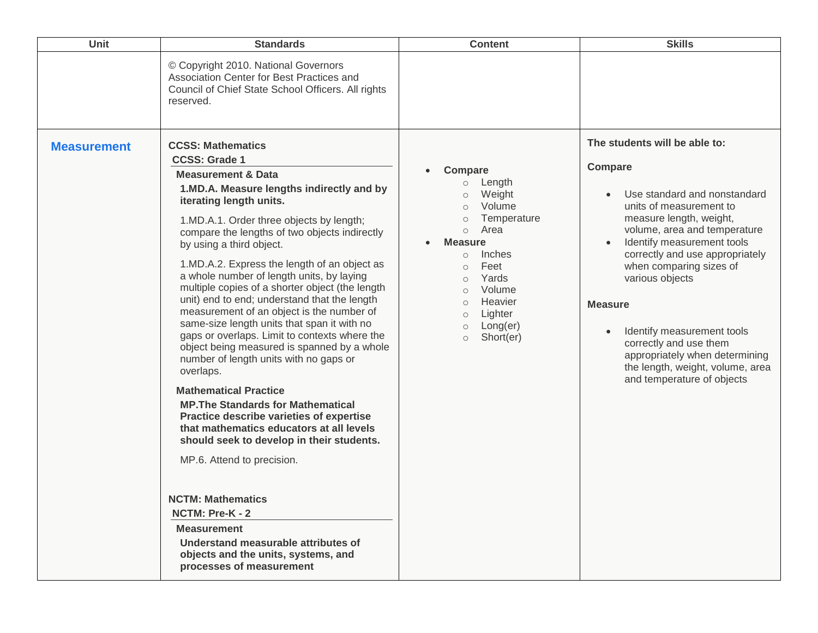| <b>Unit</b>        | <b>Standards</b>                                                                                                                                                                                                                                                                                                                                                                                                                                                                                                                                                                                                                                                                                                                                                                                                                                                                                                                                                                                                                                                                                                                                                     | <b>Content</b>                                                                                                                                                                                                                                                                                                                                     | <b>Skills</b>                                                                                                                                                                                                                                                                                                                                                                                                                                                                                      |
|--------------------|----------------------------------------------------------------------------------------------------------------------------------------------------------------------------------------------------------------------------------------------------------------------------------------------------------------------------------------------------------------------------------------------------------------------------------------------------------------------------------------------------------------------------------------------------------------------------------------------------------------------------------------------------------------------------------------------------------------------------------------------------------------------------------------------------------------------------------------------------------------------------------------------------------------------------------------------------------------------------------------------------------------------------------------------------------------------------------------------------------------------------------------------------------------------|----------------------------------------------------------------------------------------------------------------------------------------------------------------------------------------------------------------------------------------------------------------------------------------------------------------------------------------------------|----------------------------------------------------------------------------------------------------------------------------------------------------------------------------------------------------------------------------------------------------------------------------------------------------------------------------------------------------------------------------------------------------------------------------------------------------------------------------------------------------|
|                    | © Copyright 2010. National Governors<br>Association Center for Best Practices and<br>Council of Chief State School Officers. All rights<br>reserved.                                                                                                                                                                                                                                                                                                                                                                                                                                                                                                                                                                                                                                                                                                                                                                                                                                                                                                                                                                                                                 |                                                                                                                                                                                                                                                                                                                                                    |                                                                                                                                                                                                                                                                                                                                                                                                                                                                                                    |
| <b>Measurement</b> | <b>CCSS: Mathematics</b><br><b>CCSS: Grade 1</b><br><b>Measurement &amp; Data</b><br>1.MD.A. Measure lengths indirectly and by<br>iterating length units.<br>1.MD.A.1. Order three objects by length;<br>compare the lengths of two objects indirectly<br>by using a third object.<br>1.MD.A.2. Express the length of an object as<br>a whole number of length units, by laying<br>multiple copies of a shorter object (the length<br>unit) end to end; understand that the length<br>measurement of an object is the number of<br>same-size length units that span it with no<br>gaps or overlaps. Limit to contexts where the<br>object being measured is spanned by a whole<br>number of length units with no gaps or<br>overlaps.<br><b>Mathematical Practice</b><br><b>MP. The Standards for Mathematical</b><br>Practice describe varieties of expertise<br>that mathematics educators at all levels<br>should seek to develop in their students.<br>MP.6. Attend to precision.<br><b>NCTM: Mathematics</b><br>NCTM: Pre-K - 2<br><b>Measurement</b><br>Understand measurable attributes of<br>objects and the units, systems, and<br>processes of measurement | <b>Compare</b><br>$\bullet$<br>Length<br>$\circ$<br>Weight<br>$\circ$<br>Volume<br>$\circ$<br>Temperature<br>$\circ$<br>Area<br>$\circ$<br><b>Measure</b><br>$\bullet$<br>Inches<br>$\circ$<br>Feet<br>$\circ$<br>Yards<br>$\circ$<br>Volume<br>$\circ$<br>Heavier<br>$\circ$<br>Lighter<br>$\circ$<br>Long(er)<br>$\circ$<br>Short(er)<br>$\circ$ | The students will be able to:<br>Compare<br>Use standard and nonstandard<br>$\bullet$<br>units of measurement to<br>measure length, weight,<br>volume, area and temperature<br>Identify measurement tools<br>$\bullet$<br>correctly and use appropriately<br>when comparing sizes of<br>various objects<br><b>Measure</b><br>Identify measurement tools<br>$\bullet$<br>correctly and use them<br>appropriately when determining<br>the length, weight, volume, area<br>and temperature of objects |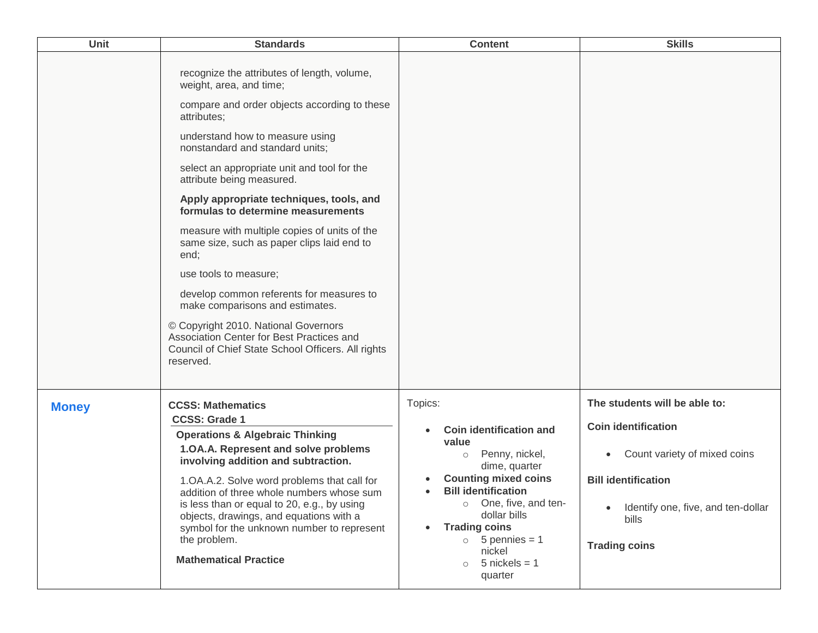| <b>Unit</b>  | <b>Standards</b>                                                                                                                                                                                                                                                                                                                                                                                                                                                                                                                                                                                                                                                                                                                                | <b>Content</b>                                                                                                                                                                                                                                                                                                                         | <b>Skills</b>                                                                                                                                                                                                              |
|--------------|-------------------------------------------------------------------------------------------------------------------------------------------------------------------------------------------------------------------------------------------------------------------------------------------------------------------------------------------------------------------------------------------------------------------------------------------------------------------------------------------------------------------------------------------------------------------------------------------------------------------------------------------------------------------------------------------------------------------------------------------------|----------------------------------------------------------------------------------------------------------------------------------------------------------------------------------------------------------------------------------------------------------------------------------------------------------------------------------------|----------------------------------------------------------------------------------------------------------------------------------------------------------------------------------------------------------------------------|
|              | recognize the attributes of length, volume,<br>weight, area, and time;<br>compare and order objects according to these<br>attributes;<br>understand how to measure using<br>nonstandard and standard units;<br>select an appropriate unit and tool for the<br>attribute being measured.<br>Apply appropriate techniques, tools, and<br>formulas to determine measurements<br>measure with multiple copies of units of the<br>same size, such as paper clips laid end to<br>end;<br>use tools to measure;<br>develop common referents for measures to<br>make comparisons and estimates.<br>© Copyright 2010. National Governors<br>Association Center for Best Practices and<br>Council of Chief State School Officers. All rights<br>reserved. |                                                                                                                                                                                                                                                                                                                                        |                                                                                                                                                                                                                            |
| <b>Money</b> | <b>CCSS: Mathematics</b><br><b>CCSS: Grade 1</b><br><b>Operations &amp; Algebraic Thinking</b><br>1.OA.A. Represent and solve problems<br>involving addition and subtraction.<br>1.OA.A.2. Solve word problems that call for<br>addition of three whole numbers whose sum<br>is less than or equal to 20, e.g., by using<br>objects, drawings, and equations with a<br>symbol for the unknown number to represent<br>the problem.<br><b>Mathematical Practice</b>                                                                                                                                                                                                                                                                               | Topics:<br>Coin identification and<br>value<br>Penny, nickel,<br>$\circ$<br>dime, quarter<br><b>Counting mixed coins</b><br><b>Bill identification</b><br>$\bullet$<br>One, five, and ten-<br>$\circ$<br>dollar bills<br><b>Trading coins</b><br>$\bullet$<br>$\circ$ 5 pennies = 1<br>nickel<br>$5$ nickels = 1<br>$\circ$<br>quarter | The students will be able to:<br><b>Coin identification</b><br>Count variety of mixed coins<br>$\bullet$<br><b>Bill identification</b><br>Identify one, five, and ten-dollar<br>$\bullet$<br>bills<br><b>Trading coins</b> |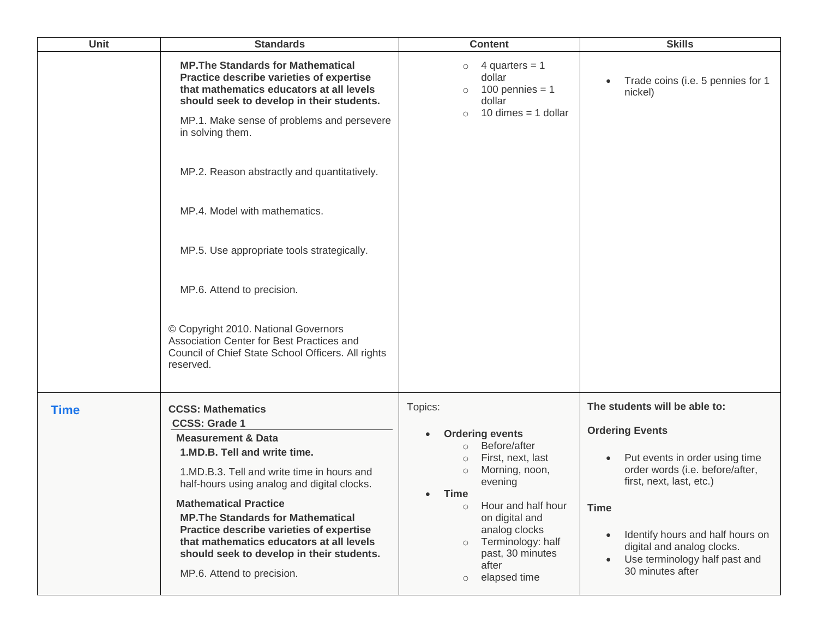| <b>Unit</b> | <b>Standards</b>                                                                                                                                                                                                                                                                                                                                                                                                                   | <b>Content</b>                                                                                                                                                                                                                                                                                                          | <b>Skills</b>                                                                                                                                                                                                                                                                           |
|-------------|------------------------------------------------------------------------------------------------------------------------------------------------------------------------------------------------------------------------------------------------------------------------------------------------------------------------------------------------------------------------------------------------------------------------------------|-------------------------------------------------------------------------------------------------------------------------------------------------------------------------------------------------------------------------------------------------------------------------------------------------------------------------|-----------------------------------------------------------------------------------------------------------------------------------------------------------------------------------------------------------------------------------------------------------------------------------------|
|             | <b>MP. The Standards for Mathematical</b><br>Practice describe varieties of expertise<br>that mathematics educators at all levels<br>should seek to develop in their students.<br>MP.1. Make sense of problems and persevere<br>in solving them.                                                                                                                                                                                   | 4 quarters $= 1$<br>$\circ$<br>dollar<br>100 pennies = $1$<br>$\circ$<br>dollar<br>10 dimes $=$ 1 dollar<br>$\circ$                                                                                                                                                                                                     | Trade coins (i.e. 5 pennies for 1<br>$\bullet$<br>nickel)                                                                                                                                                                                                                               |
|             | MP.2. Reason abstractly and quantitatively.                                                                                                                                                                                                                                                                                                                                                                                        |                                                                                                                                                                                                                                                                                                                         |                                                                                                                                                                                                                                                                                         |
|             | MP.4. Model with mathematics.                                                                                                                                                                                                                                                                                                                                                                                                      |                                                                                                                                                                                                                                                                                                                         |                                                                                                                                                                                                                                                                                         |
|             | MP.5. Use appropriate tools strategically.                                                                                                                                                                                                                                                                                                                                                                                         |                                                                                                                                                                                                                                                                                                                         |                                                                                                                                                                                                                                                                                         |
|             | MP.6. Attend to precision.                                                                                                                                                                                                                                                                                                                                                                                                         |                                                                                                                                                                                                                                                                                                                         |                                                                                                                                                                                                                                                                                         |
|             | © Copyright 2010. National Governors<br>Association Center for Best Practices and<br>Council of Chief State School Officers. All rights<br>reserved.                                                                                                                                                                                                                                                                               |                                                                                                                                                                                                                                                                                                                         |                                                                                                                                                                                                                                                                                         |
| <b>Time</b> | <b>CCSS: Mathematics</b>                                                                                                                                                                                                                                                                                                                                                                                                           | Topics:                                                                                                                                                                                                                                                                                                                 | The students will be able to:                                                                                                                                                                                                                                                           |
|             | <b>CCSS: Grade 1</b><br><b>Measurement &amp; Data</b><br>1.MD.B. Tell and write time.<br>1.MD.B.3. Tell and write time in hours and<br>half-hours using analog and digital clocks.<br><b>Mathematical Practice</b><br><b>MP. The Standards for Mathematical</b><br>Practice describe varieties of expertise<br>that mathematics educators at all levels<br>should seek to develop in their students.<br>MP.6. Attend to precision. | <b>Ordering events</b><br>$\bullet$<br>Before/after<br>$\circ$<br>First, next, last<br>$\circ$<br>Morning, noon,<br>$\circ$<br>evening<br>Time<br>$\bullet$<br>Hour and half hour<br>$\circ$<br>on digital and<br>analog clocks<br>Terminology: half<br>$\circ$<br>past, 30 minutes<br>after<br>elapsed time<br>$\circ$ | <b>Ordering Events</b><br>Put events in order using time<br>$\bullet$<br>order words (i.e. before/after,<br>first, next, last, etc.)<br><b>Time</b><br>Identify hours and half hours on<br>$\bullet$<br>digital and analog clocks.<br>Use terminology half past and<br>30 minutes after |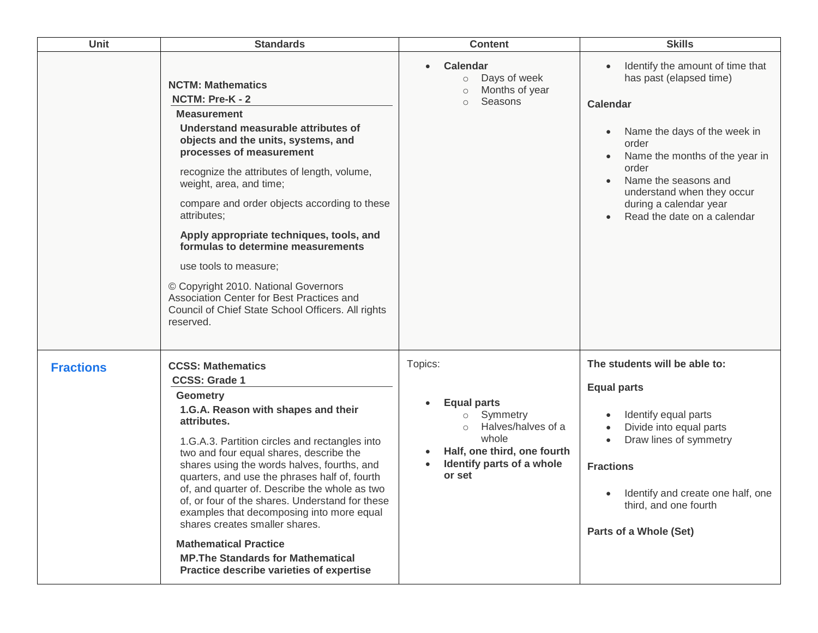| <b>Unit</b>      | <b>Standards</b>                                                                                                                                                                                                                                                                                                                                                                                                                                                                                                                                                                                                                   | <b>Content</b>                                                                                                                                                       | <b>Skills</b>                                                                                                                                                                                                                                                                                                            |
|------------------|------------------------------------------------------------------------------------------------------------------------------------------------------------------------------------------------------------------------------------------------------------------------------------------------------------------------------------------------------------------------------------------------------------------------------------------------------------------------------------------------------------------------------------------------------------------------------------------------------------------------------------|----------------------------------------------------------------------------------------------------------------------------------------------------------------------|--------------------------------------------------------------------------------------------------------------------------------------------------------------------------------------------------------------------------------------------------------------------------------------------------------------------------|
|                  | <b>NCTM: Mathematics</b><br>NCTM: Pre-K - 2<br><b>Measurement</b><br>Understand measurable attributes of<br>objects and the units, systems, and<br>processes of measurement<br>recognize the attributes of length, volume,<br>weight, area, and time;<br>compare and order objects according to these<br>attributes;<br>Apply appropriate techniques, tools, and<br>formulas to determine measurements<br>use tools to measure;<br>© Copyright 2010. National Governors<br>Association Center for Best Practices and<br>Council of Chief State School Officers. All rights<br>reserved.                                            | <b>Calendar</b><br>Days of week<br>$\circ$<br>Months of year<br>$\circ$<br>Seasons<br>$\circ$                                                                        | Identify the amount of time that<br>has past (elapsed time)<br><b>Calendar</b><br>Name the days of the week in<br>$\bullet$<br>order<br>Name the months of the year in<br>$\bullet$<br>order<br>Name the seasons and<br>understand when they occur<br>during a calendar year<br>Read the date on a calendar<br>$\bullet$ |
| <b>Fractions</b> | <b>CCSS: Mathematics</b><br><b>CCSS: Grade 1</b><br><b>Geometry</b><br>1.G.A. Reason with shapes and their<br>attributes.<br>1.G.A.3. Partition circles and rectangles into<br>two and four equal shares, describe the<br>shares using the words halves, fourths, and<br>quarters, and use the phrases half of, fourth<br>of, and quarter of. Describe the whole as two<br>of, or four of the shares. Understand for these<br>examples that decomposing into more equal<br>shares creates smaller shares.<br><b>Mathematical Practice</b><br><b>MP. The Standards for Mathematical</b><br>Practice describe varieties of expertise | Topics:<br><b>Equal parts</b><br>Symmetry<br>$\circ$<br>Halves/halves of a<br>$\circ$<br>whole<br>Half, one third, one fourth<br>Identify parts of a whole<br>or set | The students will be able to:<br><b>Equal parts</b><br>Identify equal parts<br>$\bullet$<br>Divide into equal parts<br>$\bullet$<br>Draw lines of symmetry<br>$\bullet$<br><b>Fractions</b><br>Identify and create one half, one<br>$\bullet$<br>third, and one fourth<br>Parts of a Whole (Set)                         |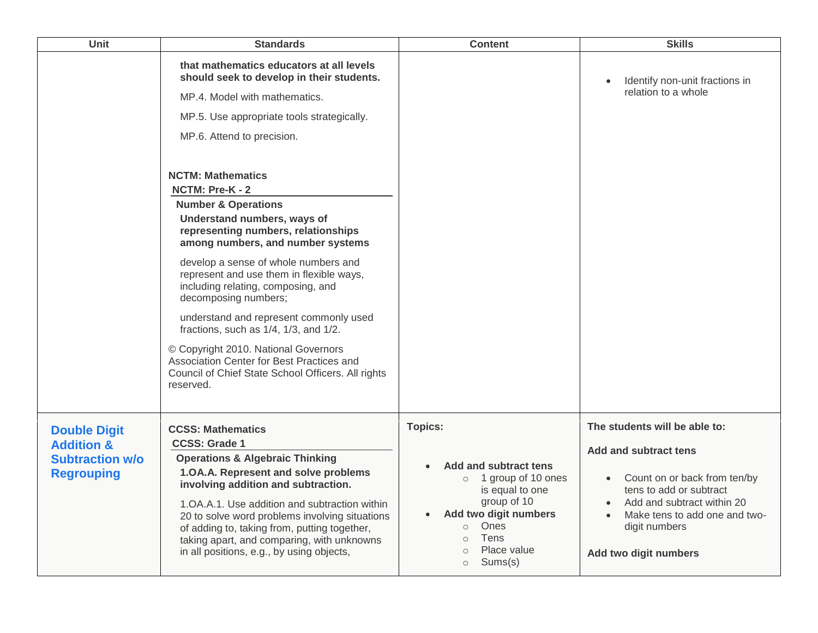| <b>Unit</b>                                 | <b>Standards</b>                                                                                                                                                                                                                                                                                                                                                           | <b>Content</b>                                                                                                                                                                                              | <b>Skills</b>                                                                                                                                                                 |
|---------------------------------------------|----------------------------------------------------------------------------------------------------------------------------------------------------------------------------------------------------------------------------------------------------------------------------------------------------------------------------------------------------------------------------|-------------------------------------------------------------------------------------------------------------------------------------------------------------------------------------------------------------|-------------------------------------------------------------------------------------------------------------------------------------------------------------------------------|
|                                             | that mathematics educators at all levels<br>should seek to develop in their students.<br>MP.4. Model with mathematics.<br>MP.5. Use appropriate tools strategically.<br>MP.6. Attend to precision.                                                                                                                                                                         |                                                                                                                                                                                                             | Identify non-unit fractions in<br>$\bullet$<br>relation to a whole                                                                                                            |
|                                             | <b>NCTM: Mathematics</b><br>NCTM: Pre-K - 2                                                                                                                                                                                                                                                                                                                                |                                                                                                                                                                                                             |                                                                                                                                                                               |
|                                             | <b>Number &amp; Operations</b><br>Understand numbers, ways of<br>representing numbers, relationships<br>among numbers, and number systems                                                                                                                                                                                                                                  |                                                                                                                                                                                                             |                                                                                                                                                                               |
|                                             | develop a sense of whole numbers and<br>represent and use them in flexible ways,<br>including relating, composing, and<br>decomposing numbers;                                                                                                                                                                                                                             |                                                                                                                                                                                                             |                                                                                                                                                                               |
|                                             | understand and represent commonly used<br>fractions, such as 1/4, 1/3, and 1/2.                                                                                                                                                                                                                                                                                            |                                                                                                                                                                                                             |                                                                                                                                                                               |
|                                             | © Copyright 2010. National Governors<br>Association Center for Best Practices and<br>Council of Chief State School Officers. All rights<br>reserved.                                                                                                                                                                                                                       |                                                                                                                                                                                                             |                                                                                                                                                                               |
| <b>Double Digit</b>                         | <b>CCSS: Mathematics</b>                                                                                                                                                                                                                                                                                                                                                   | <b>Topics:</b>                                                                                                                                                                                              | The students will be able to:                                                                                                                                                 |
| <b>Addition &amp;</b>                       | <b>CCSS: Grade 1</b>                                                                                                                                                                                                                                                                                                                                                       |                                                                                                                                                                                                             | Add and subtract tens                                                                                                                                                         |
| <b>Subtraction w/o</b><br><b>Regrouping</b> | <b>Operations &amp; Algebraic Thinking</b><br>1.0A.A. Represent and solve problems<br>involving addition and subtraction.<br>1. OA. A. 1. Use addition and subtraction within<br>20 to solve word problems involving situations<br>of adding to, taking from, putting together,<br>taking apart, and comparing, with unknowns<br>in all positions, e.g., by using objects, | Add and subtract tens<br>o 1 group of 10 ones<br>is equal to one<br>group of 10<br>Add two digit numbers<br>$\bullet$<br>Ones<br>$\circ$<br>Tens<br>$\circ$<br>Place value<br>$\circ$<br>Sums(s)<br>$\circ$ | Count on or back from ten/by<br>$\bullet$<br>tens to add or subtract<br>Add and subtract within 20<br>Make tens to add one and two-<br>digit numbers<br>Add two digit numbers |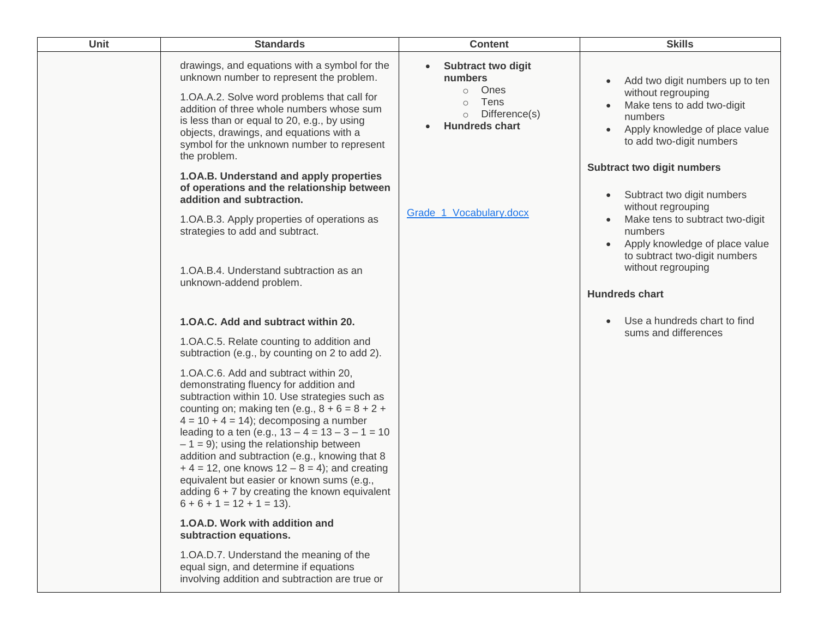| <b>Unit</b> | <b>Standards</b>                                                                                                                                                                                                                                                                                                                                                                                                                                                                                                                                                            | <b>Content</b>                                                                                                                               | <b>Skills</b>                                                                                                                                                                                   |
|-------------|-----------------------------------------------------------------------------------------------------------------------------------------------------------------------------------------------------------------------------------------------------------------------------------------------------------------------------------------------------------------------------------------------------------------------------------------------------------------------------------------------------------------------------------------------------------------------------|----------------------------------------------------------------------------------------------------------------------------------------------|-------------------------------------------------------------------------------------------------------------------------------------------------------------------------------------------------|
|             | drawings, and equations with a symbol for the<br>unknown number to represent the problem.<br>1.OA.A.2. Solve word problems that call for<br>addition of three whole numbers whose sum<br>is less than or equal to 20, e.g., by using<br>objects, drawings, and equations with a<br>symbol for the unknown number to represent<br>the problem.                                                                                                                                                                                                                               | <b>Subtract two digit</b><br>$\bullet$<br>numbers<br>Ones<br>$\circ$<br>Tens<br>$\circ$<br>Difference(s)<br>$\circ$<br><b>Hundreds chart</b> | Add two digit numbers up to ten<br>$\bullet$<br>without regrouping<br>Make tens to add two-digit<br>numbers<br>Apply knowledge of place value<br>to add two-digit numbers                       |
|             | 1.OA.B. Understand and apply properties<br>of operations and the relationship between<br>addition and subtraction.<br>1.OA.B.3. Apply properties of operations as<br>strategies to add and subtract.                                                                                                                                                                                                                                                                                                                                                                        | Grade_1_Vocabulary.docx                                                                                                                      | Subtract two digit numbers<br>Subtract two digit numbers<br>without regrouping<br>Make tens to subtract two-digit<br>numbers<br>Apply knowledge of place value<br>to subtract two-digit numbers |
|             | 1. OA. B. 4. Understand subtraction as an<br>unknown-addend problem.                                                                                                                                                                                                                                                                                                                                                                                                                                                                                                        |                                                                                                                                              | without regrouping<br><b>Hundreds chart</b>                                                                                                                                                     |
|             | 1. OA.C. Add and subtract within 20.                                                                                                                                                                                                                                                                                                                                                                                                                                                                                                                                        |                                                                                                                                              | Use a hundreds chart to find<br>$\bullet$                                                                                                                                                       |
|             | 1.OA.C.5. Relate counting to addition and<br>subtraction (e.g., by counting on 2 to add 2).                                                                                                                                                                                                                                                                                                                                                                                                                                                                                 |                                                                                                                                              | sums and differences                                                                                                                                                                            |
|             | 1. OA.C.6. Add and subtract within 20,<br>demonstrating fluency for addition and<br>subtraction within 10. Use strategies such as<br>counting on; making ten (e.g., $8 + 6 = 8 + 2 +$<br>$4 = 10 + 4 = 14$ ; decomposing a number<br>leading to a ten (e.g., $13 - 4 = 13 - 3 - 1 = 10$<br>$-1 = 9$ ; using the relationship between<br>addition and subtraction (e.g., knowing that 8<br>$+4 = 12$ , one knows $12 - 8 = 4$ ; and creating<br>equivalent but easier or known sums (e.g.,<br>adding $6 + 7$ by creating the known equivalent<br>$6 + 6 + 1 = 12 + 1 = 13$ . |                                                                                                                                              |                                                                                                                                                                                                 |
|             | 1.0A.D. Work with addition and<br>subtraction equations.                                                                                                                                                                                                                                                                                                                                                                                                                                                                                                                    |                                                                                                                                              |                                                                                                                                                                                                 |
|             | 1.OA.D.7. Understand the meaning of the<br>equal sign, and determine if equations<br>involving addition and subtraction are true or                                                                                                                                                                                                                                                                                                                                                                                                                                         |                                                                                                                                              |                                                                                                                                                                                                 |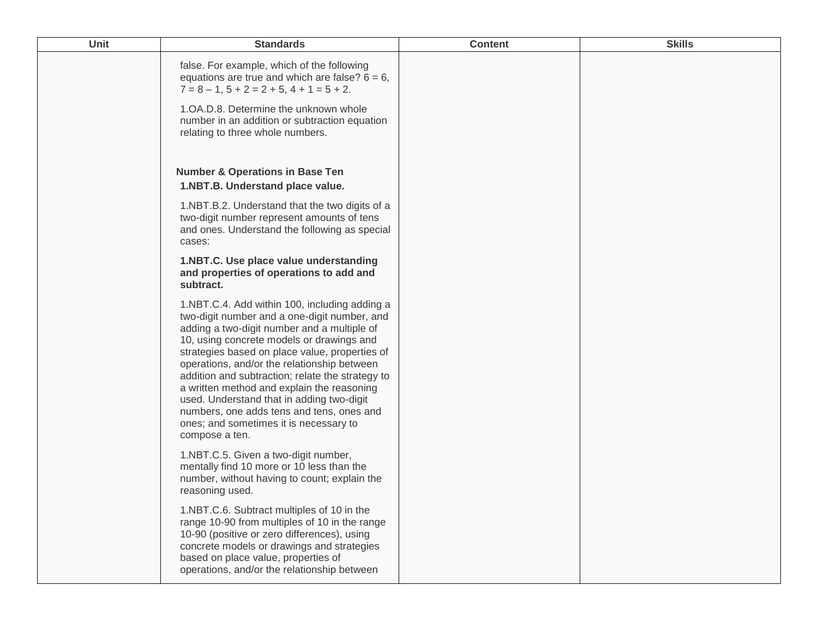| Unit | <b>Standards</b>                                                                                                                                                                                                                                                                                                                                                                                                                                                                                                                                   | <b>Content</b> | <b>Skills</b> |
|------|----------------------------------------------------------------------------------------------------------------------------------------------------------------------------------------------------------------------------------------------------------------------------------------------------------------------------------------------------------------------------------------------------------------------------------------------------------------------------------------------------------------------------------------------------|----------------|---------------|
|      | false. For example, which of the following<br>equations are true and which are false? $6 = 6$ ,<br>$7 = 8 - 1$ , $5 + 2 = 2 + 5$ , $4 + 1 = 5 + 2$ .<br>1. OA.D.8. Determine the unknown whole<br>number in an addition or subtraction equation<br>relating to three whole numbers.                                                                                                                                                                                                                                                                |                |               |
|      | <b>Number &amp; Operations in Base Ten</b><br>1.NBT.B. Understand place value.                                                                                                                                                                                                                                                                                                                                                                                                                                                                     |                |               |
|      | 1.NBT.B.2. Understand that the two digits of a<br>two-digit number represent amounts of tens<br>and ones. Understand the following as special<br>cases:                                                                                                                                                                                                                                                                                                                                                                                            |                |               |
|      | 1.NBT.C. Use place value understanding<br>and properties of operations to add and<br>subtract.                                                                                                                                                                                                                                                                                                                                                                                                                                                     |                |               |
|      | 1.NBT.C.4. Add within 100, including adding a<br>two-digit number and a one-digit number, and<br>adding a two-digit number and a multiple of<br>10, using concrete models or drawings and<br>strategies based on place value, properties of<br>operations, and/or the relationship between<br>addition and subtraction; relate the strategy to<br>a written method and explain the reasoning<br>used. Understand that in adding two-digit<br>numbers, one adds tens and tens, ones and<br>ones; and sometimes it is necessary to<br>compose a ten. |                |               |
|      | 1.NBT.C.5. Given a two-digit number,<br>mentally find 10 more or 10 less than the<br>number, without having to count; explain the<br>reasoning used.                                                                                                                                                                                                                                                                                                                                                                                               |                |               |
|      | 1.NBT.C.6. Subtract multiples of 10 in the<br>range 10-90 from multiples of 10 in the range<br>10-90 (positive or zero differences), using<br>concrete models or drawings and strategies<br>based on place value, properties of<br>operations, and/or the relationship between                                                                                                                                                                                                                                                                     |                |               |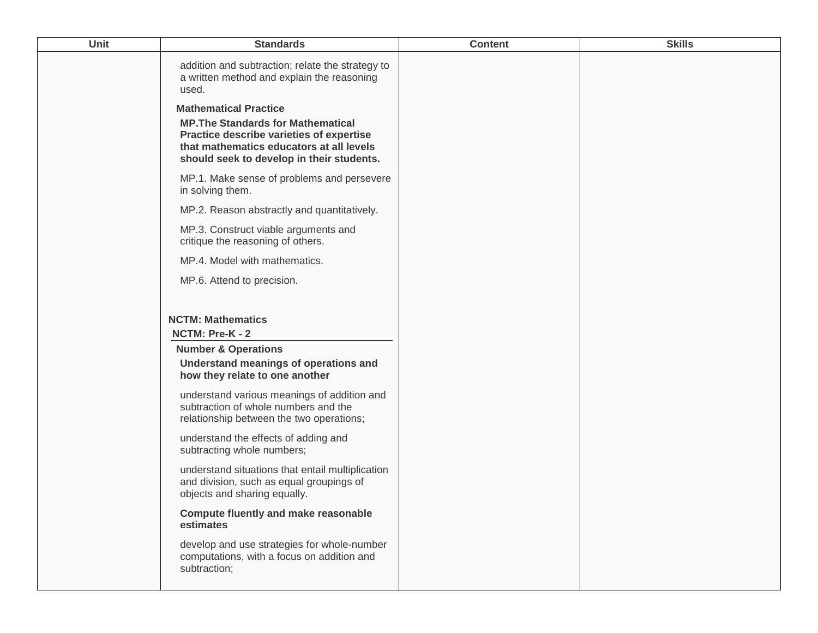| Unit | <b>Standards</b>                                                                                                                                                                                               | <b>Content</b> | <b>Skills</b> |
|------|----------------------------------------------------------------------------------------------------------------------------------------------------------------------------------------------------------------|----------------|---------------|
|      | addition and subtraction; relate the strategy to<br>a written method and explain the reasoning<br>used.                                                                                                        |                |               |
|      | <b>Mathematical Practice</b><br><b>MP. The Standards for Mathematical</b><br>Practice describe varieties of expertise<br>that mathematics educators at all levels<br>should seek to develop in their students. |                |               |
|      | MP.1. Make sense of problems and persevere<br>in solving them.                                                                                                                                                 |                |               |
|      | MP.2. Reason abstractly and quantitatively.                                                                                                                                                                    |                |               |
|      | MP.3. Construct viable arguments and<br>critique the reasoning of others.                                                                                                                                      |                |               |
|      | MP.4. Model with mathematics.                                                                                                                                                                                  |                |               |
|      | MP.6. Attend to precision.                                                                                                                                                                                     |                |               |
|      |                                                                                                                                                                                                                |                |               |
|      | <b>NCTM: Mathematics</b><br>NCTM: Pre-K - 2                                                                                                                                                                    |                |               |
|      | <b>Number &amp; Operations</b>                                                                                                                                                                                 |                |               |
|      | Understand meanings of operations and<br>how they relate to one another                                                                                                                                        |                |               |
|      | understand various meanings of addition and<br>subtraction of whole numbers and the<br>relationship between the two operations;                                                                                |                |               |
|      | understand the effects of adding and<br>subtracting whole numbers;                                                                                                                                             |                |               |
|      | understand situations that entail multiplication<br>and division, such as equal groupings of<br>objects and sharing equally.                                                                                   |                |               |
|      | <b>Compute fluently and make reasonable</b><br>estimates                                                                                                                                                       |                |               |
|      | develop and use strategies for whole-number<br>computations, with a focus on addition and<br>subtraction;                                                                                                      |                |               |
|      |                                                                                                                                                                                                                |                |               |